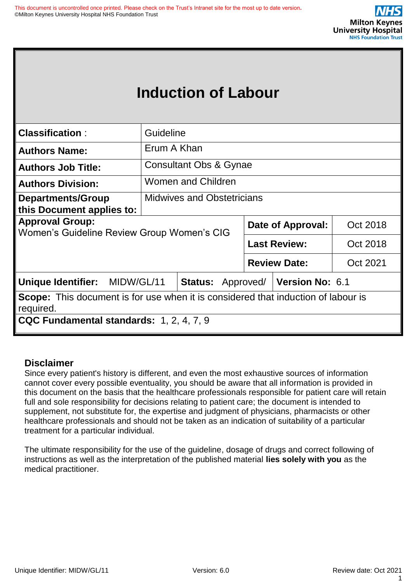| <b>Classification:</b>                                                                                | Guideline                         |                                                   |                     |                     |          |  |
|-------------------------------------------------------------------------------------------------------|-----------------------------------|---------------------------------------------------|---------------------|---------------------|----------|--|
| <b>Authors Name:</b>                                                                                  | Erum A Khan                       |                                                   |                     |                     |          |  |
| <b>Authors Job Title:</b>                                                                             |                                   | <b>Consultant Obs &amp; Gynae</b>                 |                     |                     |          |  |
| <b>Authors Division:</b>                                                                              |                                   | Women and Children                                |                     |                     |          |  |
| <b>Departments/Group</b><br>this Document applies to:                                                 | <b>Midwives and Obstetricians</b> |                                                   |                     |                     |          |  |
| <b>Approval Group:</b>                                                                                |                                   |                                                   | Date of Approval:   |                     | Oct 2018 |  |
| Women's Guideline Review Group Women's CIG                                                            |                                   |                                                   |                     | <b>Last Review:</b> | Oct 2018 |  |
|                                                                                                       |                                   |                                                   | <b>Review Date:</b> |                     | Oct 2021 |  |
| Unique Identifier: MIDW/GL/11                                                                         |                                   | <b>Status:</b> Approved/   <b>Version No:</b> 6.1 |                     |                     |          |  |
| <b>Scope:</b> This document is for use when it is considered that induction of labour is<br>required. |                                   |                                                   |                     |                     |          |  |
| CQC Fundamental standards: 1, 2, 4, 7, 9                                                              |                                   |                                                   |                     |                     |          |  |

# **Disclaimer**

Since every patient's history is different, and even the most exhaustive sources of information cannot cover every possible eventuality, you should be aware that all information is provided in this document on the basis that the healthcare professionals responsible for patient care will retain full and sole responsibility for decisions relating to patient care; the document is intended to supplement, not substitute for, the expertise and judgment of physicians, pharmacists or other healthcare professionals and should not be taken as an indication of suitability of a particular treatment for a particular individual.

The ultimate responsibility for the use of the guideline, dosage of drugs and correct following of instructions as well as the interpretation of the published material **lies solely with you** as the medical practitioner.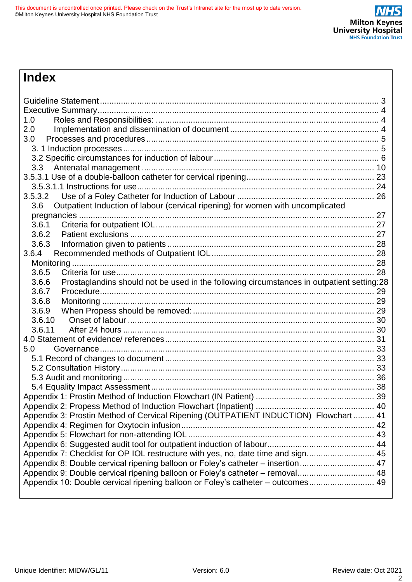# **Index**

| 1.0<br>2.0                                                                                         |  |
|----------------------------------------------------------------------------------------------------|--|
| 3.0                                                                                                |  |
|                                                                                                    |  |
|                                                                                                    |  |
| 3.3                                                                                                |  |
|                                                                                                    |  |
|                                                                                                    |  |
| 3.5.3.2                                                                                            |  |
| Outpatient Induction of labour (cervical ripening) for women with uncomplicated<br>3.6             |  |
|                                                                                                    |  |
| 3.6.1                                                                                              |  |
| 3.6.2                                                                                              |  |
| 3.6.3                                                                                              |  |
| 3.6.4                                                                                              |  |
|                                                                                                    |  |
| 3.6.5                                                                                              |  |
| Prostaglandins should not be used in the following circumstances in outpatient setting:28<br>3.6.6 |  |
| 3.6.7                                                                                              |  |
| 3.6.8                                                                                              |  |
| 3.6.9                                                                                              |  |
| 3.6.10                                                                                             |  |
| 3.6.11                                                                                             |  |
|                                                                                                    |  |
| 5.0                                                                                                |  |
|                                                                                                    |  |
|                                                                                                    |  |
|                                                                                                    |  |
|                                                                                                    |  |
|                                                                                                    |  |
|                                                                                                    |  |
| Appendix 3: Prostin Method of Cervical Ripening (OUTPATIENT INDUCTION) Flowchart 41                |  |
|                                                                                                    |  |
|                                                                                                    |  |
|                                                                                                    |  |
| Appendix 7: Checklist for OP IOL restructure with yes, no, date time and sign 45                   |  |
| Appendix 8: Double cervical ripening balloon or Foley's catheter - insertion 47                    |  |
| Appendix 9: Double cervical ripening balloon or Foley's catheter - removal 48                      |  |
| Appendix 10: Double cervical ripening balloon or Foley's catheter - outcomes 49                    |  |
|                                                                                                    |  |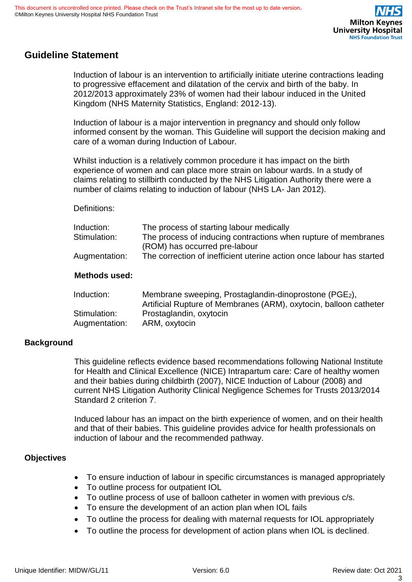# <span id="page-2-0"></span>**Guideline Statement**

Induction of labour is an intervention to artificially initiate uterine contractions leading to progressive effacement and dilatation of the cervix and birth of the baby. In 2012/2013 approximately 23% of women had their labour induced in the United Kingdom (NHS Maternity Statistics, England: 2012-13).

Induction of labour is a major intervention in pregnancy and should only follow informed consent by the woman. This Guideline will support the decision making and care of a woman during Induction of Labour.

Whilst induction is a relatively common procedure it has impact on the birth experience of women and can place more strain on labour wards. In a study of claims relating to stillbirth conducted by the NHS Litigation Authority there were a number of claims relating to induction of labour (NHS LA- Jan 2012).

#### Definitions:

| Induction:<br>Stimulation:<br>Augmentation: | The process of starting labour medically<br>The process of inducing contractions when rupture of membranes<br>(ROM) has occurred pre-labour<br>The correction of inefficient uterine action once labour has started |
|---------------------------------------------|---------------------------------------------------------------------------------------------------------------------------------------------------------------------------------------------------------------------|
| <b>Methods used:</b>                        |                                                                                                                                                                                                                     |
| Induction:                                  | Membrane sweeping, Prostaglandin-dinoprostone (PGE2),<br>Artificial Rupture of Membranes (ARM), oxytocin, balloon catheter                                                                                          |
| Stimulation:                                | Prostaglandin, oxytocin                                                                                                                                                                                             |

Augmentation: ARM, oxytocin

#### **Background**

This guideline reflects evidence based recommendations following National Institute for Health and Clinical Excellence (NICE) Intrapartum care: Care of healthy women and their babies during childbirth (2007), NICE Induction of Labour (2008) and current NHS Litigation Authority Clinical Negligence Schemes for Trusts 2013/2014 Standard 2 criterion 7.

Induced labour has an impact on the birth experience of women, and on their health and that of their babies. This guideline provides advice for health professionals on induction of labour and the recommended pathway.

#### **Objectives**

- To ensure induction of labour in specific circumstances is managed appropriately
- To outline process for outpatient IOL
- To outline process of use of balloon catheter in women with previous c/s.
- To ensure the development of an action plan when IOL fails
- To outline the process for dealing with maternal requests for IOL appropriately
- To outline the process for development of action plans when IOL is declined.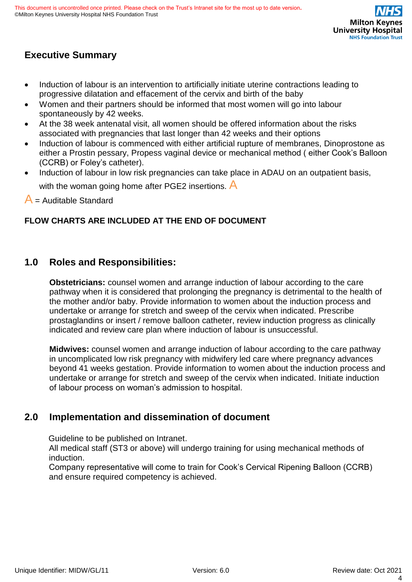

# <span id="page-3-0"></span>**Executive Summary**

- Induction of labour is an intervention to artificially initiate uterine contractions leading to progressive dilatation and effacement of the cervix and birth of the baby
- Women and their partners should be informed that most women will go into labour spontaneously by 42 weeks.
- At the 38 week antenatal visit, all women should be offered information about the risks associated with pregnancies that last longer than 42 weeks and their options
- Induction of labour is commenced with either artificial rupture of membranes, Dinoprostone as either a Prostin pessary, Propess vaginal device or mechanical method ( either Cook's Balloon (CCRB) or Foley's catheter).
- Induction of labour in low risk pregnancies can take place in ADAU on an outpatient basis,

with the woman going home after PGE2 insertions.  $\overline{A}$ 

 $A$  = Auditable Standard

### **FLOW CHARTS ARE INCLUDED AT THE END OF DOCUMENT**

# <span id="page-3-1"></span>**1.0 Roles and Responsibilities:**

**Obstetricians:** counsel women and arrange induction of labour according to the care pathway when it is considered that prolonging the pregnancy is detrimental to the health of the mother and/or baby. Provide information to women about the induction process and undertake or arrange for stretch and sweep of the cervix when indicated. Prescribe prostaglandins or insert / remove balloon catheter, review induction progress as clinically indicated and review care plan where induction of labour is unsuccessful.

**Midwives:** counsel women and arrange induction of labour according to the care pathway in uncomplicated low risk pregnancy with midwifery led care where pregnancy advances beyond 41 weeks gestation. Provide information to women about the induction process and undertake or arrange for stretch and sweep of the cervix when indicated. Initiate induction of labour process on woman's admission to hospital.

# <span id="page-3-2"></span>**2.0 Implementation and dissemination of document**

Guideline to be published on Intranet.

All medical staff (ST3 or above) will undergo training for using mechanical methods of induction.

Company representative will come to train for Cook's Cervical Ripening Balloon (CCRB) and ensure required competency is achieved.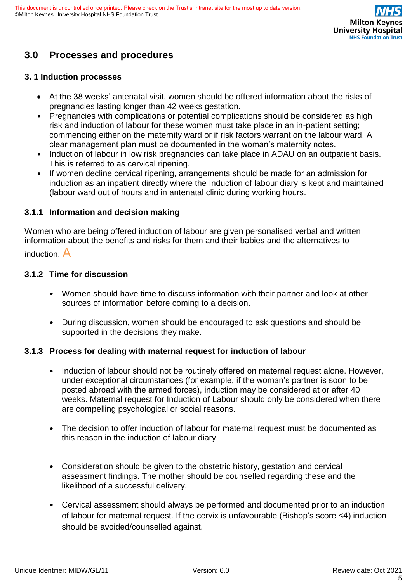# <span id="page-4-0"></span>**3.0 Processes and procedures**

#### <span id="page-4-1"></span>**3. 1 Induction processes**

- At the 38 weeks' antenatal visit, women should be offered information about the risks of pregnancies lasting longer than 42 weeks gestation.
- Pregnancies with complications or potential complications should be considered as high risk and induction of labour for these women must take place in an in-patient setting; commencing either on the maternity ward or if risk factors warrant on the labour ward. A clear management plan must be documented in the woman's maternity notes.
- Induction of labour in low risk pregnancies can take place in ADAU on an outpatient basis. This is referred to as cervical ripening.
- If women decline cervical ripening, arrangements should be made for an admission for induction as an inpatient directly where the Induction of labour diary is kept and maintained (labour ward out of hours and in antenatal clinic during working hours.

#### **3.1.1 Information and decision making**

Women who are being offered induction of labour are given personalised verbal and written information about the benefits and risks for them and their babies and the alternatives to induction. A

#### **3.1.2 Time for discussion**

- Women should have time to discuss information with their partner and look at other sources of information before coming to a decision.
- During discussion, women should be encouraged to ask questions and should be supported in the decisions they make.

#### **3.1.3 Process for dealing with maternal request for induction of labour**

- Induction of labour should not be routinely offered on maternal request alone. However, under exceptional circumstances (for example, if the woman's partner is soon to be posted abroad with the armed forces), induction may be considered at or after 40 weeks. Maternal request for Induction of Labour should only be considered when there are compelling psychological or social reasons.
- The decision to offer induction of labour for maternal request must be documented as this reason in the induction of labour diary.
- Consideration should be given to the obstetric history, gestation and cervical assessment findings. The mother should be counselled regarding these and the likelihood of a successful delivery.
- Cervical assessment should always be performed and documented prior to an induction of labour for maternal request. If the cervix is unfavourable (Bishop's score <4) induction should be avoided/counselled against.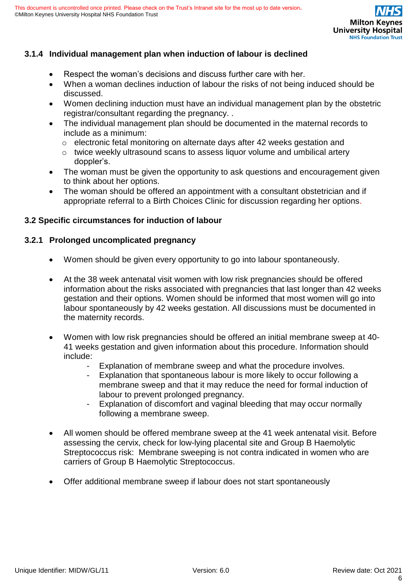

### **3.1.4 Individual management plan when induction of labour is declined**

- Respect the woman's decisions and discuss further care with her.
- When a woman declines induction of labour the risks of not being induced should be discussed.
- Women declining induction must have an individual management plan by the obstetric registrar/consultant regarding the pregnancy. .
- The individual management plan should be documented in the maternal records to include as a minimum:
	- o electronic fetal monitoring on alternate days after 42 weeks gestation and
	- o twice weekly ultrasound scans to assess liquor volume and umbilical artery doppler's.
- The woman must be given the opportunity to ask questions and encouragement given to think about her options.
- The woman should be offered an appointment with a consultant obstetrician and if appropriate referral to a Birth Choices Clinic for discussion regarding her options.

#### <span id="page-5-0"></span>**3.2 Specific circumstances for induction of labour**

#### **3.2.1 Prolonged uncomplicated pregnancy**

- Women should be given every opportunity to go into labour spontaneously.
- At the 38 week antenatal visit women with low risk pregnancies should be offered information about the risks associated with pregnancies that last longer than 42 weeks gestation and their options. Women should be informed that most women will go into labour spontaneously by 42 weeks gestation. All discussions must be documented in the maternity records.
- Women with low risk pregnancies should be offered an initial membrane sweep at 40- 41 weeks gestation and given information about this procedure. Information should include:
	- Explanation of membrane sweep and what the procedure involves.
	- Explanation that spontaneous labour is more likely to occur following a membrane sweep and that it may reduce the need for formal induction of labour to prevent prolonged pregnancy.
	- Explanation of discomfort and vaginal bleeding that may occur normally following a membrane sweep.
- All women should be offered membrane sweep at the 41 week antenatal visit. Before assessing the cervix, check for low-lying placental site and Group B Haemolytic Streptococcus risk: Membrane sweeping is not contra indicated in women who are carriers of Group B Haemolytic Streptococcus.
- Offer additional membrane sweep if labour does not start spontaneously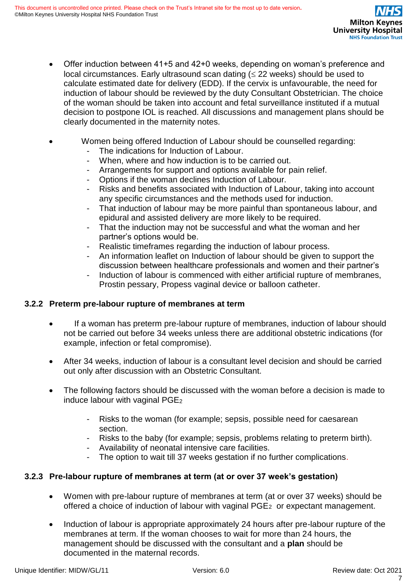- Offer induction between 41+5 and 42+0 weeks, depending on woman's preference and local circumstances. Early ultrasound scan dating  $( \leq 22 \text{ weeks})$  should be used to calculate estimated date for delivery (EDD). If the cervix is unfavourable, the need for induction of labour should be reviewed by the duty Consultant Obstetrician. The choice of the woman should be taken into account and fetal surveillance instituted if a mutual decision to postpone IOL is reached. All discussions and management plans should be clearly documented in the maternity notes.
- Women being offered Induction of Labour should be counselled regarding:
	- The indications for Induction of Labour.
	- When, where and how induction is to be carried out.
	- Arrangements for support and options available for pain relief.
	- Options if the woman declines Induction of Labour.
	- Risks and benefits associated with Induction of Labour, taking into account any specific circumstances and the methods used for induction.
	- That induction of labour may be more painful than spontaneous labour, and epidural and assisted delivery are more likely to be required.
	- That the induction may not be successful and what the woman and her partner's options would be.
	- Realistic timeframes regarding the induction of labour process.
	- An information leaflet on Induction of labour should be given to support the discussion between healthcare professionals and women and their partner's
	- Induction of labour is commenced with either artificial rupture of membranes, Prostin pessary, Propess vaginal device or balloon catheter.

# **3.2.2 Preterm pre-labour rupture of membranes at term**

- If a woman has preterm pre-labour rupture of membranes, induction of labour should not be carried out before 34 weeks unless there are additional obstetric indications (for example, infection or fetal compromise).
- After 34 weeks, induction of labour is a consultant level decision and should be carried out only after discussion with an Obstetric Consultant.
- The following factors should be discussed with the woman before a decision is made to induce labour with vaginal PGE<sup>2</sup>
	- Risks to the woman (for example; sepsis, possible need for caesarean section.
	- Risks to the baby (for example; sepsis, problems relating to preterm birth).
	- Availability of neonatal intensive care facilities.
	- The option to wait till 37 weeks gestation if no further complications.

# **3.2.3 Pre-labour rupture of membranes at term (at or over 37 week's gestation)**

- Women with pre-labour rupture of membranes at term (at or over 37 weeks) should be offered a choice of induction of labour with vaginal PGE2 or expectant management.
- Induction of labour is appropriate approximately 24 hours after pre-labour rupture of the membranes at term. If the woman chooses to wait for more than 24 hours, the management should be discussed with the consultant and a **plan** should be documented in the maternal records.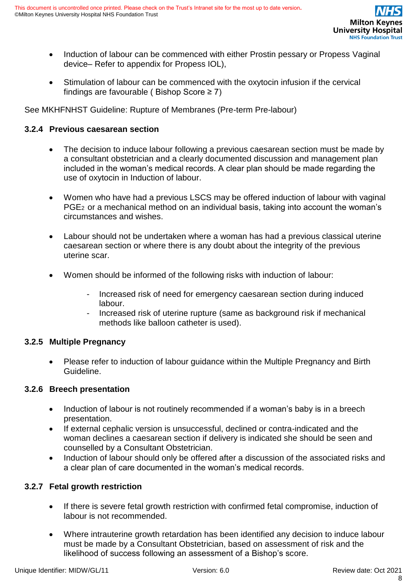

- Induction of labour can be commenced with either Prostin pessary or Propess Vaginal device– Refer to appendix for Propess IOL),
- Stimulation of labour can be commenced with the oxytocin infusion if the cervical findings are favourable (Bishop Score  $\geq 7$ )

See MKHFNHST Guideline: Rupture of Membranes (Pre-term Pre-labour)

### **3.2.4 Previous caesarean section**

- The decision to induce labour following a previous caesarean section must be made by a consultant obstetrician and a clearly documented discussion and management plan included in the woman's medical records. A clear plan should be made regarding the use of oxytocin in Induction of labour.
- Women who have had a previous LSCS may be offered induction of labour with vaginal PGE2 or a mechanical method on an individual basis, taking into account the woman's circumstances and wishes.
- Labour should not be undertaken where a woman has had a previous classical uterine caesarean section or where there is any doubt about the integrity of the previous uterine scar.
- Women should be informed of the following risks with induction of labour:
	- Increased risk of need for emergency caesarean section during induced labour.
	- Increased risk of uterine rupture (same as background risk if mechanical methods like balloon catheter is used).

#### **3.2.5 Multiple Pregnancy**

• Please refer to induction of labour guidance within the Multiple Pregnancy and Birth Guideline.

#### **3.2.6 Breech presentation**

- Induction of labour is not routinely recommended if a woman's baby is in a breech presentation.
- If external cephalic version is unsuccessful, declined or contra-indicated and the woman declines a caesarean section if delivery is indicated she should be seen and counselled by a Consultant Obstetrician.
- Induction of labour should only be offered after a discussion of the associated risks and a clear plan of care documented in the woman's medical records.

# **3.2.7 Fetal growth restriction**

- If there is severe fetal growth restriction with confirmed fetal compromise, induction of labour is not recommended.
- Where intrauterine growth retardation has been identified any decision to induce labour must be made by a Consultant Obstetrician, based on assessment of risk and the likelihood of success following an assessment of a Bishop's score.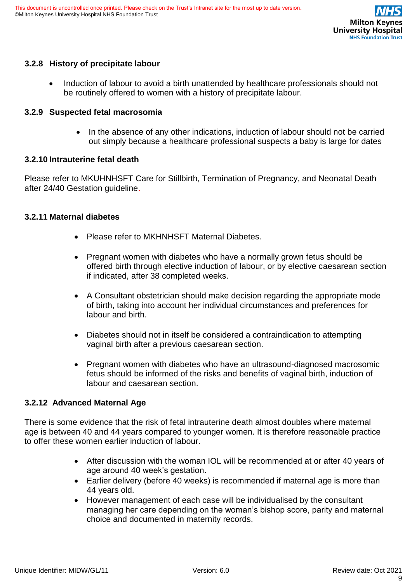

### **3.2.8 History of precipitate labour**

• Induction of labour to avoid a birth unattended by healthcare professionals should not be routinely offered to women with a history of precipitate labour.

#### **3.2.9 Suspected fetal macrosomia**

• In the absence of any other indications, induction of labour should not be carried out simply because a healthcare professional suspects a baby is large for dates

#### **3.2.10 Intrauterine fetal death**

Please refer to MKUHNHSFT Care for Stillbirth, Termination of Pregnancy, and Neonatal Death after 24/40 Gestation guideline.

#### **3.2.11 Maternal diabetes**

- Please refer to MKHNHSFT Maternal Diabetes.
- Pregnant women with diabetes who have a normally grown fetus should be offered birth through elective induction of labour, or by elective caesarean section if indicated, after 38 completed weeks.
- A Consultant obstetrician should make decision regarding the appropriate mode of birth, taking into account her individual circumstances and preferences for labour and birth.
- Diabetes should not in itself be considered a contraindication to attempting vaginal birth after a previous caesarean section.
- Pregnant women with diabetes who have an ultrasound-diagnosed macrosomic fetus should be informed of the risks and benefits of vaginal birth, induction of labour and caesarean section.

#### **3.2.12 Advanced Maternal Age**

There is some evidence that the risk of fetal intrauterine death almost doubles where maternal age is between 40 and 44 years compared to younger women. It is therefore reasonable practice to offer these women earlier induction of labour.

- After discussion with the woman IOL will be recommended at or after 40 years of age around 40 week's gestation.
- Earlier delivery (before 40 weeks) is recommended if maternal age is more than 44 years old.
- However management of each case will be individualised by the consultant managing her care depending on the woman's bishop score, parity and maternal choice and documented in maternity records.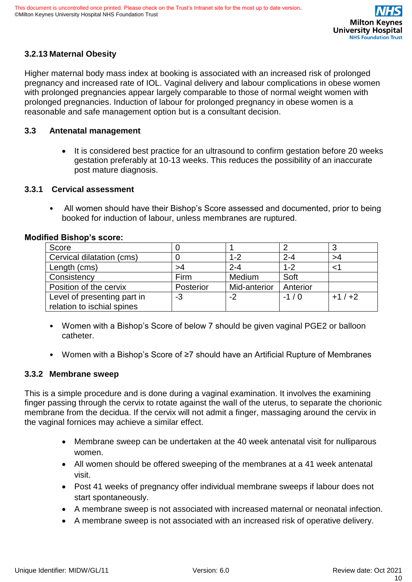# **3.2.13 Maternal Obesity**

Higher maternal body mass index at booking is associated with an increased risk of prolonged pregnancy and increased rate of IOL. Vaginal delivery and labour complications in obese women with prolonged pregnancies appear largely comparable to those of normal weight women with prolonged pregnancies. Induction of labour for prolonged pregnancy in obese women is a reasonable and safe management option but is a consultant decision.

#### <span id="page-9-0"></span>**3.3 Antenatal management**

• It is considered best practice for an ultrasound to confirm gestation before 20 weeks gestation preferably at 10-13 weeks. This reduces the possibility of an inaccurate post mature diagnosis.

#### **3.3.1 Cervical assessment**

• All women should have their Bishop's Score assessed and documented, prior to being booked for induction of labour, unless membranes are ruptured.

| Score                       |           |              |          |         |
|-----------------------------|-----------|--------------|----------|---------|
| Cervical dilatation (cms)   |           | $1 - 2$      | $2 - 4$  | >4      |
| Length (cms)                | >4        | $2 - 4$      | $1 - 2$  |         |
| Consistency                 | Firm      | Medium       | Soft     |         |
| Position of the cervix      | Posterior | Mid-anterior | Anterior |         |
| Level of presenting part in | -3        | -2           | $-1/0$   | $+1/+2$ |
| relation to ischial spines  |           |              |          |         |

#### **Modified Bishop's score:**

- Women with a Bishop's Score of below 7 should be given vaginal PGE2 or balloon catheter.
- Women with a Bishop's Score of ≥7 should have an Artificial Rupture of Membranes

#### **3.3.2 Membrane sweep**

This is a simple procedure and is done during a vaginal examination. It involves the examining finger passing through the cervix to rotate against the wall of the uterus, to separate the chorionic membrane from the decidua. If the cervix will not admit a finger, massaging around the cervix in the vaginal fornices may achieve a similar effect.

- Membrane sweep can be undertaken at the 40 week antenatal visit for nulliparous women.
- All women should be offered sweeping of the membranes at a 41 week antenatal visit.
- Post 41 weeks of pregnancy offer individual membrane sweeps if labour does not start spontaneously.
- A membrane sweep is not associated with increased maternal or neonatal infection.
- A membrane sweep is not associated with an increased risk of operative delivery.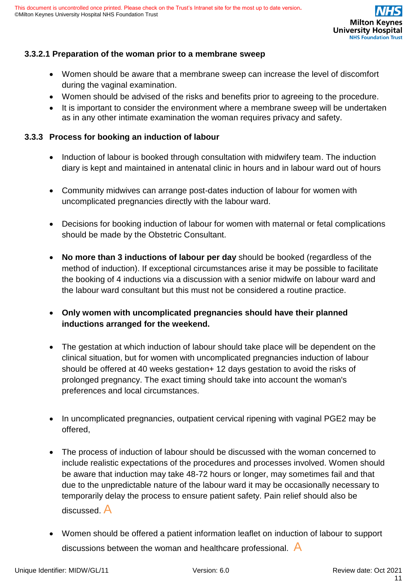

# **3.3.2.1 Preparation of the woman prior to a membrane sweep**

- Women should be aware that a membrane sweep can increase the level of discomfort during the vaginal examination.
- Women should be advised of the risks and benefits prior to agreeing to the procedure.
- It is important to consider the environment where a membrane sweep will be undertaken as in any other intimate examination the woman requires privacy and safety.

#### **3.3.3 Process for booking an induction of labour**

- Induction of labour is booked through consultation with midwifery team. The induction diary is kept and maintained in antenatal clinic in hours and in labour ward out of hours
- Community midwives can arrange post-dates induction of labour for women with uncomplicated pregnancies directly with the labour ward.
- Decisions for booking induction of labour for women with maternal or fetal complications should be made by the Obstetric Consultant.
- **No more than 3 inductions of labour per day** should be booked (regardless of the method of induction). If exceptional circumstances arise it may be possible to facilitate the booking of 4 inductions via a discussion with a senior midwife on labour ward and the labour ward consultant but this must not be considered a routine practice.
- **Only women with uncomplicated pregnancies should have their planned inductions arranged for the weekend.**
- The gestation at which induction of labour should take place will be dependent on the clinical situation, but for women with uncomplicated pregnancies induction of labour should be offered at 40 weeks gestation+ 12 days gestation to avoid the risks of prolonged pregnancy. The exact timing should take into account the woman's preferences and local circumstances.
- In uncomplicated pregnancies, outpatient cervical ripening with vaginal PGE2 may be offered,
- The process of induction of labour should be discussed with the woman concerned to include realistic expectations of the procedures and processes involved. Women should be aware that induction may take 48-72 hours or longer, may sometimes fail and that due to the unpredictable nature of the labour ward it may be occasionally necessary to temporarily delay the process to ensure patient safety. Pain relief should also be discussed. A
- Women should be offered a patient information leaflet on induction of labour to support discussions between the woman and healthcare professional. A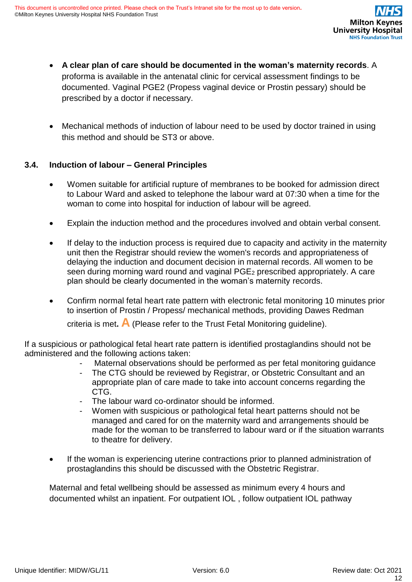- **A clear plan of care should be documented in the woman's maternity records**. A proforma is available in the antenatal clinic for cervical assessment findings to be documented. Vaginal PGE2 (Propess vaginal device or Prostin pessary) should be prescribed by a doctor if necessary.
- Mechanical methods of induction of labour need to be used by doctor trained in using this method and should be ST3 or above.

### **3.4. Induction of labour – General Principles**

- Women suitable for artificial rupture of membranes to be booked for admission direct to Labour Ward and asked to telephone the labour ward at 07:30 when a time for the woman to come into hospital for induction of labour will be agreed.
- Explain the induction method and the procedures involved and obtain verbal consent.
- If delay to the induction process is required due to capacity and activity in the maternity unit then the Registrar should review the women's records and appropriateness of delaying the induction and document decision in maternal records. All women to be seen during morning ward round and vaginal PGE<sub>2</sub> prescribed appropriately. A care plan should be clearly documented in the woman's maternity records.
- Confirm normal fetal heart rate pattern with electronic fetal monitoring 10 minutes prior to insertion of Prostin / Propess/ mechanical methods, providing Dawes Redman

criteria is met**. A** (Please refer to the Trust Fetal Monitoring guideline).

If a suspicious or pathological fetal heart rate pattern is identified prostaglandins should not be administered and the following actions taken:

- Maternal observations should be performed as per fetal monitoring guidance
- The CTG should be reviewed by Registrar, or Obstetric Consultant and an appropriate plan of care made to take into account concerns regarding the CTG.
- The labour ward co-ordinator should be informed.
- Women with suspicious or pathological fetal heart patterns should not be managed and cared for on the maternity ward and arrangements should be made for the woman to be transferred to labour ward or if the situation warrants to theatre for delivery.
- If the woman is experiencing uterine contractions prior to planned administration of prostaglandins this should be discussed with the Obstetric Registrar.

Maternal and fetal wellbeing should be assessed as minimum every 4 hours and documented whilst an inpatient. For outpatient IOL , follow outpatient IOL pathway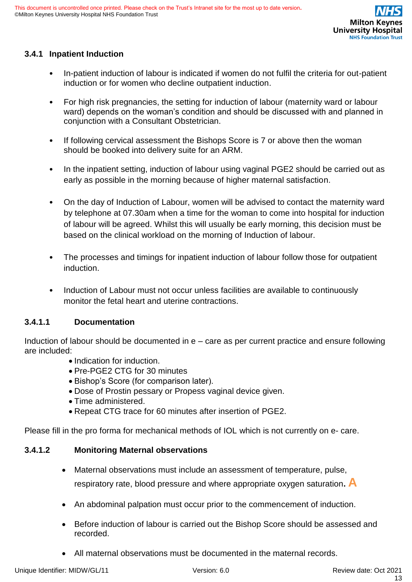

# **3.4.1 Inpatient Induction**

- In-patient induction of labour is indicated if women do not fulfil the criteria for out-patient induction or for women who decline outpatient induction.
- For high risk pregnancies, the setting for induction of labour (maternity ward or labour ward) depends on the woman's condition and should be discussed with and planned in conjunction with a Consultant Obstetrician.
- If following cervical assessment the Bishops Score is 7 or above then the woman should be booked into delivery suite for an ARM.
- In the inpatient setting, induction of labour using vaginal PGE2 should be carried out as early as possible in the morning because of higher maternal satisfaction.
- On the day of Induction of Labour, women will be advised to contact the maternity ward by telephone at 07.30am when a time for the woman to come into hospital for induction of labour will be agreed. Whilst this will usually be early morning, this decision must be based on the clinical workload on the morning of Induction of labour.
- The processes and timings for inpatient induction of labour follow those for outpatient induction.
- Induction of Labour must not occur unless facilities are available to continuously monitor the fetal heart and uterine contractions.

# **3.4.1.1 Documentation**

Induction of labour should be documented in e – care as per current practice and ensure following are included:

- Indication for induction.
- Pre-PGE2 CTG for 30 minutes
- Bishop's Score (for comparison later).
- Dose of Prostin pessary or Propess vaginal device given.
- Time administered.
- Repeat CTG trace for 60 minutes after insertion of PGE2.

Please fill in the pro forma for mechanical methods of IOL which is not currently on e- care.

# **3.4.1.2 Monitoring Maternal observations**

- Maternal observations must include an assessment of temperature, pulse, respiratory rate, blood pressure and where appropriate oxygen saturation**. A**
- An abdominal palpation must occur prior to the commencement of induction.
- Before induction of labour is carried out the Bishop Score should be assessed and recorded.
- All maternal observations must be documented in the maternal records.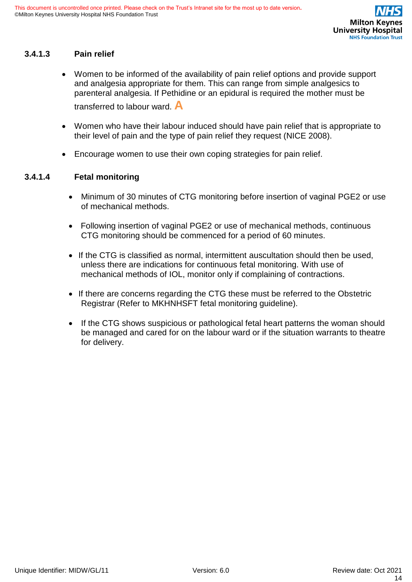#### **3.4.1.3 Pain relief**

- Women to be informed of the availability of pain relief options and provide support and analgesia appropriate for them. This can range from simple analgesics to parenteral analgesia. If Pethidine or an epidural is required the mother must be transferred to labour ward. **A**
- Women who have their labour induced should have pain relief that is appropriate to their level of pain and the type of pain relief they request (NICE 2008).
- Encourage women to use their own coping strategies for pain relief.

#### **3.4.1.4 Fetal monitoring**

- Minimum of 30 minutes of CTG monitoring before insertion of vaginal PGE2 or use of mechanical methods.
- Following insertion of vaginal PGE2 or use of mechanical methods, continuous CTG monitoring should be commenced for a period of 60 minutes.
- If the CTG is classified as normal, intermittent auscultation should then be used, unless there are indications for continuous fetal monitoring. With use of mechanical methods of IOL, monitor only if complaining of contractions.
- If there are concerns regarding the CTG these must be referred to the Obstetric Registrar (Refer to MKHNHSFT fetal monitoring guideline).
- If the CTG shows suspicious or pathological fetal heart patterns the woman should be managed and cared for on the labour ward or if the situation warrants to theatre for delivery.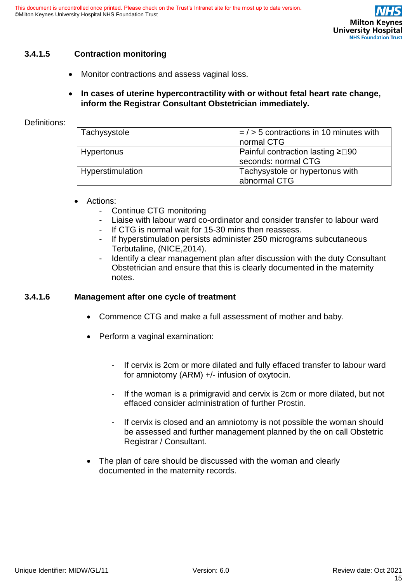### **3.4.1.5 Contraction monitoring**

• Monitor contractions and assess vaginal loss.

#### • **In cases of uterine hypercontractility with or without fetal heart rate change, inform the Registrar Consultant Obstetrician immediately.**

#### Definitions:

| Tachysystole      | $=$ / > 5 contractions in 10 minutes with<br>normal CTG              |
|-------------------|----------------------------------------------------------------------|
| <b>Hypertonus</b> | Painful contraction lasting $\geq \square 90$<br>seconds: normal CTG |
| Hyperstimulation  | Tachysystole or hypertonus with<br>abnormal CTG                      |

#### • Actions:

- Continue CTG monitoring
- Liaise with labour ward co-ordinator and consider transfer to labour ward
- If CTG is normal wait for 15-30 mins then reassess.
- If hyperstimulation persists administer 250 micrograms subcutaneous Terbutaline, (NICE,2014).
- Identify a clear management plan after discussion with the duty Consultant Obstetrician and ensure that this is clearly documented in the maternity notes.

#### **3.4.1.6 Management after one cycle of treatment**

- Commence CTG and make a full assessment of mother and baby.
- Perform a vaginal examination:
	- If cervix is 2cm or more dilated and fully effaced transfer to labour ward for amniotomy (ARM) +/- infusion of oxytocin.
	- If the woman is a primigravid and cervix is 2cm or more dilated, but not effaced consider administration of further Prostin.
	- If cervix is closed and an amniotomy is not possible the woman should be assessed and further management planned by the on call Obstetric Registrar / Consultant.
- The plan of care should be discussed with the woman and clearly documented in the maternity records.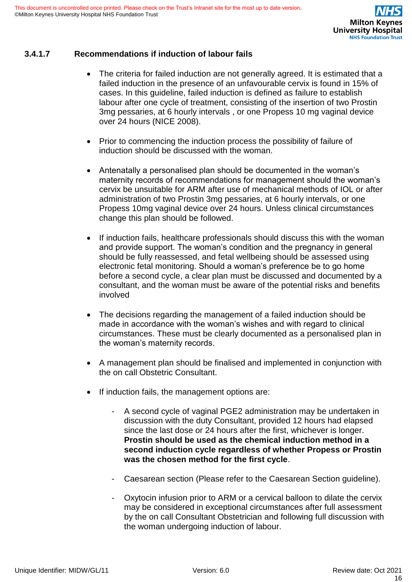# **3.4.1.7 Recommendations if induction of labour fails**

- The criteria for failed induction are not generally agreed. It is estimated that a failed induction in the presence of an unfavourable cervix is found in 15% of cases. In this guideline, failed induction is defined as failure to establish labour after one cycle of treatment, consisting of the insertion of two Prostin 3mg pessaries, at 6 hourly intervals , or one Propess 10 mg vaginal device over 24 hours (NICE 2008).
- Prior to commencing the induction process the possibility of failure of induction should be discussed with the woman.
- Antenatally a personalised plan should be documented in the woman's maternity records of recommendations for management should the woman's cervix be unsuitable for ARM after use of mechanical methods of IOL or after administration of two Prostin 3mg pessaries, at 6 hourly intervals, or one Propess 10mg vaginal device over 24 hours. Unless clinical circumstances change this plan should be followed.
- If induction fails, healthcare professionals should discuss this with the woman and provide support. The woman's condition and the pregnancy in general should be fully reassessed, and fetal wellbeing should be assessed using electronic fetal monitoring. Should a woman's preference be to go home before a second cycle, a clear plan must be discussed and documented by a consultant, and the woman must be aware of the potential risks and benefits involved
- The decisions regarding the management of a failed induction should be made in accordance with the woman's wishes and with regard to clinical circumstances. These must be clearly documented as a personalised plan in the woman's maternity records.
- A management plan should be finalised and implemented in conjunction with the on call Obstetric Consultant.
- If induction fails, the management options are:
	- A second cycle of vaginal PGE2 administration may be undertaken in discussion with the duty Consultant, provided 12 hours had elapsed since the last dose or 24 hours after the first, whichever is longer. **Prostin should be used as the chemical induction method in a second induction cycle regardless of whether Propess or Prostin was the chosen method for the first cycle**.
	- Caesarean section (Please refer to the Caesarean Section guideline).
	- Oxytocin infusion prior to ARM or a cervical balloon to dilate the cervix may be considered in exceptional circumstances after full assessment by the on call Consultant Obstetrician and following full discussion with the woman undergoing induction of labour.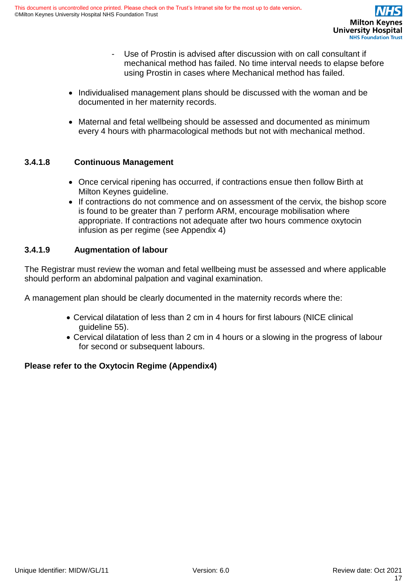- Use of Prostin is advised after discussion with on call consultant if mechanical method has failed. No time interval needs to elapse before using Prostin in cases where Mechanical method has failed.
- Individualised management plans should be discussed with the woman and be documented in her maternity records.
- Maternal and fetal wellbeing should be assessed and documented as minimum every 4 hours with pharmacological methods but not with mechanical method.

### **3.4.1.8 Continuous Management**

- Once cervical ripening has occurred, if contractions ensue then follow Birth at Milton Keynes guideline.
- If contractions do not commence and on assessment of the cervix, the bishop score is found to be greater than 7 perform ARM, encourage mobilisation where appropriate. If contractions not adequate after two hours commence oxytocin infusion as per regime (see Appendix 4)

### **3.4.1.9 Augmentation of labour**

The Registrar must review the woman and fetal wellbeing must be assessed and where applicable should perform an abdominal palpation and vaginal examination.

A management plan should be clearly documented in the maternity records where the:

- Cervical dilatation of less than 2 cm in 4 hours for first labours (NICE clinical guideline 55).
- Cervical dilatation of less than 2 cm in 4 hours or a slowing in the progress of labour for second or subsequent labours.

# **Please refer to the Oxytocin Regime (Appendix4)**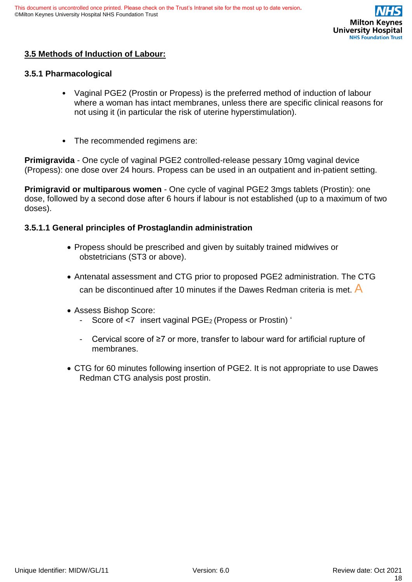

# **3.5 Methods of Induction of Labour:**

#### **3.5.1 Pharmacological**

- Vaginal PGE2 (Prostin or Propess) is the preferred method of induction of labour where a woman has intact membranes, unless there are specific clinical reasons for not using it (in particular the risk of uterine hyperstimulation).
- The recommended regimens are:

**Primigravida** - One cycle of vaginal PGE2 controlled-release pessary 10mg vaginal device (Propess): one dose over 24 hours. Propess can be used in an outpatient and in-patient setting.

**Primigravid or multiparous women** - One cycle of vaginal PGE2 3mgs tablets (Prostin): one dose, followed by a second dose after 6 hours if labour is not established (up to a maximum of two doses).

#### **3.5.1.1 General principles of Prostaglandin administration**

- Propess should be prescribed and given by suitably trained midwives or obstetricians (ST3 or above).
- Antenatal assessment and CTG prior to proposed PGE2 administration. The CTG can be discontinued after 10 minutes if the Dawes Redman criteria is met.  $\overline{A}$
- Assess Bishop Score:
	- Score of <7 insert vaginal PGE<sub>2</sub> (Propess or Prostin) '
	- Cervical score of ≥7 or more, transfer to labour ward for artificial rupture of membranes.
- CTG for 60 minutes following insertion of PGE2. It is not appropriate to use Dawes Redman CTG analysis post prostin.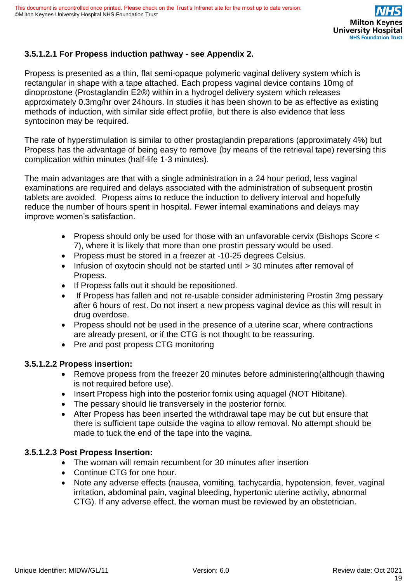# **3.5.1.2.1 For Propess induction pathway - see Appendix 2.**

Propess is presented as a thin, flat semi-opaque polymeric vaginal delivery system which is rectangular in shape with a tape attached. Each propess vaginal device contains 10mg of dinoprostone (Prostaglandin E2®) within in a hydrogel delivery system which releases approximately 0.3mg/hr over 24hours. In studies it has been shown to be as effective as existing methods of induction, with similar side effect profile, but there is also evidence that less syntocinon may be required.

The rate of hyperstimulation is similar to other prostaglandin preparations (approximately 4%) but Propess has the advantage of being easy to remove (by means of the retrieval tape) reversing this complication within minutes (half-life 1-3 minutes).

The main advantages are that with a single administration in a 24 hour period, less vaginal examinations are required and delays associated with the administration of subsequent prostin tablets are avoided. Propess aims to reduce the induction to delivery interval and hopefully reduce the number of hours spent in hospital. Fewer internal examinations and delays may improve women's satisfaction.

- Propess should only be used for those with an unfavorable cervix (Bishops Score < 7), where it is likely that more than one prostin pessary would be used.
- Propess must be stored in a freezer at -10-25 degrees Celsius.
- Infusion of oxytocin should not be started until  $>$  30 minutes after removal of Propess.
- If Propess falls out it should be repositioned.
- If Propess has fallen and not re-usable consider administering Prostin 3mg pessary after 6 hours of rest. Do not insert a new propess vaginal device as this will result in drug overdose.
- Propess should not be used in the presence of a uterine scar, where contractions are already present, or if the CTG is not thought to be reassuring.
- Pre and post propess CTG monitoring

#### **3.5.1.2.2 Propess insertion:**

- Remove propess from the freezer 20 minutes before administering(although thawing is not required before use).
- Insert Propess high into the posterior fornix using aquagel (NOT Hibitane).
- The pessary should lie transversely in the posterior fornix.
- After Propess has been inserted the withdrawal tape may be cut but ensure that there is sufficient tape outside the vagina to allow removal. No attempt should be made to tuck the end of the tape into the vagina.

# **3.5.1.2.3 Post Propess Insertion:**

- The woman will remain recumbent for 30 minutes after insertion
- Continue CTG for one hour.
- Note any adverse effects (nausea, vomiting, tachycardia, hypotension, fever, vaginal irritation, abdominal pain, vaginal bleeding, hypertonic uterine activity, abnormal CTG). If any adverse effect, the woman must be reviewed by an obstetrician.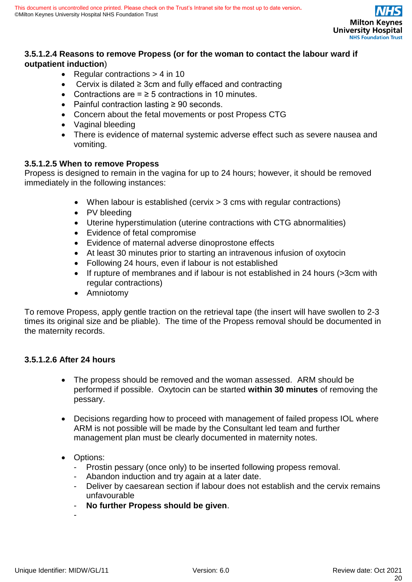

# **3.5.1.2.4 Reasons to remove Propess (or for the woman to contact the labour ward if outpatient induction**)

- Regular contractions > 4 in 10
- Cervix is dilated ≥ 3cm and fully effaced and contracting
- Contractions are  $=$   $\geq$  5 contractions in 10 minutes.
- Painful contraction lasting ≥ 90 seconds.
- Concern about the fetal movements or post Propess CTG
- Vaginal bleeding
- There is evidence of maternal systemic adverse effect such as severe nausea and vomiting.

#### **3.5.1.2.5 When to remove Propess**

Propess is designed to remain in the vagina for up to 24 hours; however, it should be removed immediately in the following instances:

- When labour is established (cervix > 3 cms with regular contractions)
- PV bleeding
- Uterine hyperstimulation (uterine contractions with CTG abnormalities)
- Evidence of fetal compromise
- Evidence of maternal adverse dinoprostone effects
- At least 30 minutes prior to starting an intravenous infusion of oxytocin
- Following 24 hours, even if labour is not established
- If rupture of membranes and if labour is not established in 24 hours (>3cm with regular contractions)
- Amniotomy

To remove Propess, apply gentle traction on the retrieval tape (the insert will have swollen to 2-3 times its original size and be pliable). The time of the Propess removal should be documented in the maternity records.

#### **3.5.1.2.6 After 24 hours**

- The propess should be removed and the woman assessed. ARM should be performed if possible. Oxytocin can be started **within 30 minutes** of removing the pessary.
- Decisions regarding how to proceed with management of failed propess IOL where ARM is not possible will be made by the Consultant led team and further management plan must be clearly documented in maternity notes.
- Options:
	- Prostin pessary (once only) to be inserted following propess removal.
	- Abandon induction and try again at a later date.
	- Deliver by caesarean section if labour does not establish and the cervix remains unfavourable
	- **No further Propess should be given**.

-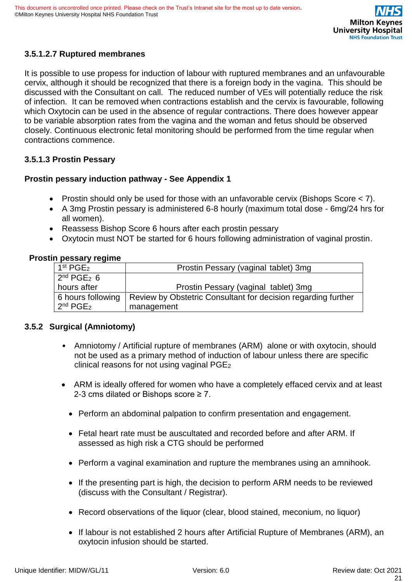# **3.5.1.2.7 Ruptured membranes**

It is possible to use propess for induction of labour with ruptured membranes and an unfavourable cervix, although it should be recognized that there is a foreign body in the vagina. This should be discussed with the Consultant on call. The reduced number of VEs will potentially reduce the risk of infection. It can be removed when contractions establish and the cervix is favourable, following which Oxytocin can be used in the absence of regular contractions. There does however appear to be variable absorption rates from the vagina and the woman and fetus should be observed closely. Continuous electronic fetal monitoring should be performed from the time regular when contractions commence.

# **3.5.1.3 Prostin Pessary**

#### **Prostin pessary induction pathway - See Appendix 1**

- Prostin should only be used for those with an unfavorable cervix (Bishops Score < 7).
- A 3mg Prostin pessary is administered 6-8 hourly (maximum total dose 6mg/24 hrs for all women).
- Reassess Bishop Score 6 hours after each prostin pessary
- Oxytocin must NOT be started for 6 hours following administration of vaginal prostin.

#### **Prostin pessary regime**

| 1 <sup>st</sup> PGE <sub>2</sub> | Prostin Pessary (vaginal tablet) 3mg                          |
|----------------------------------|---------------------------------------------------------------|
| $2nd$ PGE <sub>2</sub> 6         |                                                               |
| hours after                      | Prostin Pessary (vaginal tablet) 3mg                          |
| 6 hours following                | Review by Obstetric Consultant for decision regarding further |
| $2^{nd} PGE2$                    | management                                                    |

#### **3.5.2 Surgical (Amniotomy)**

- Amniotomy / Artificial rupture of membranes (ARM) alone or with oxytocin, should not be used as a primary method of induction of labour unless there are specific clinical reasons for not using vaginal  $PGE<sub>2</sub>$
- ARM is ideally offered for women who have a completely effaced cervix and at least 2-3 cms dilated or Bishops score ≥ 7.
	- Perform an abdominal palpation to confirm presentation and engagement.
	- Fetal heart rate must be auscultated and recorded before and after ARM. If assessed as high risk a CTG should be performed
	- Perform a vaginal examination and rupture the membranes using an amnihook.
	- If the presenting part is high, the decision to perform ARM needs to be reviewed (discuss with the Consultant / Registrar).
	- Record observations of the liquor (clear, blood stained, meconium, no liquor)
	- If labour is not established 2 hours after Artificial Rupture of Membranes (ARM), an oxytocin infusion should be started.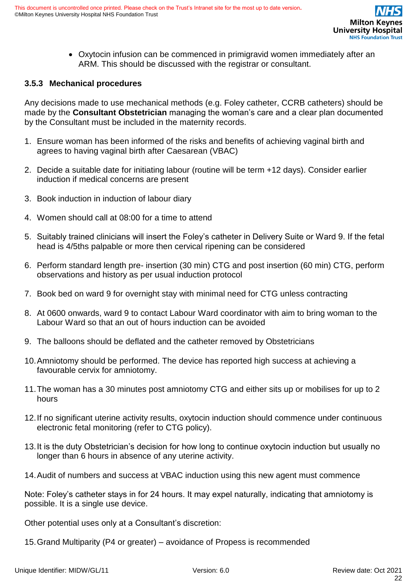• Oxytocin infusion can be commenced in primigravid women immediately after an ARM. This should be discussed with the registrar or consultant.

### **3.5.3 Mechanical procedures**

Any decisions made to use mechanical methods (e.g. Foley catheter, CCRB catheters) should be made by the **Consultant Obstetrician** managing the woman's care and a clear plan documented by the Consultant must be included in the maternity records.

- 1. Ensure woman has been informed of the risks and benefits of achieving vaginal birth and agrees to having vaginal birth after Caesarean (VBAC)
- 2. Decide a suitable date for initiating labour (routine will be term +12 days). Consider earlier induction if medical concerns are present
- 3. Book induction in induction of labour diary
- 4. Women should call at 08:00 for a time to attend
- 5. Suitably trained clinicians will insert the Foley's catheter in Delivery Suite or Ward 9. If the fetal head is 4/5ths palpable or more then cervical ripening can be considered
- 6. Perform standard length pre- insertion (30 min) CTG and post insertion (60 min) CTG, perform observations and history as per usual induction protocol
- 7. Book bed on ward 9 for overnight stay with minimal need for CTG unless contracting
- 8. At 0600 onwards, ward 9 to contact Labour Ward coordinator with aim to bring woman to the Labour Ward so that an out of hours induction can be avoided
- 9. The balloons should be deflated and the catheter removed by Obstetricians
- 10.Amniotomy should be performed. The device has reported high success at achieving a favourable cervix for amniotomy.
- 11.The woman has a 30 minutes post amniotomy CTG and either sits up or mobilises for up to 2 hours
- 12.If no significant uterine activity results, oxytocin induction should commence under continuous electronic fetal monitoring (refer to CTG policy).
- 13.It is the duty Obstetrician's decision for how long to continue oxytocin induction but usually no longer than 6 hours in absence of any uterine activity.
- 14.Audit of numbers and success at VBAC induction using this new agent must commence

Note: Foley's catheter stays in for 24 hours. It may expel naturally, indicating that amniotomy is possible. It is a single use device.

Other potential uses only at a Consultant's discretion:

15.Grand Multiparity (P4 or greater) – avoidance of Propess is recommended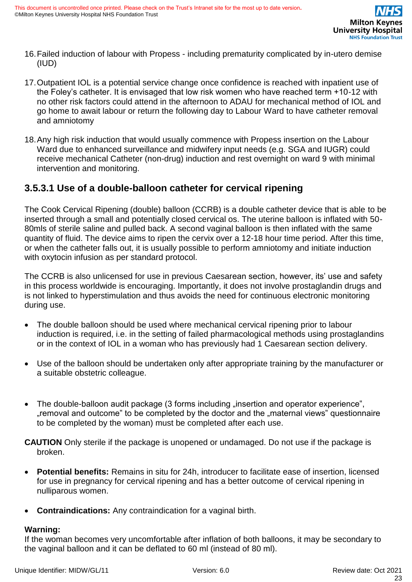- 16.Failed induction of labour with Propess including prematurity complicated by in-utero demise (IUD)
- 17.Outpatient IOL is a potential service change once confidence is reached with inpatient use of the Foley's catheter. It is envisaged that low risk women who have reached term +10-12 with no other risk factors could attend in the afternoon to ADAU for mechanical method of IOL and go home to await labour or return the following day to Labour Ward to have catheter removal and amniotomy
- 18.Any high risk induction that would usually commence with Propess insertion on the Labour Ward due to enhanced surveillance and midwifery input needs (e.g. SGA and IUGR) could receive mechanical Catheter (non-drug) induction and rest overnight on ward 9 with minimal intervention and monitoring.

# <span id="page-22-0"></span>**3.5.3.1 Use of a double-balloon catheter for cervical ripening**

The Cook Cervical Ripening (double) balloon (CCRB) is a double catheter device that is able to be inserted through a small and potentially closed cervical os. The uterine balloon is inflated with 50- 80mls of sterile saline and pulled back. A second vaginal balloon is then inflated with the same quantity of fluid. The device aims to ripen the cervix over a 12-18 hour time period. After this time, or when the catheter falls out, it is usually possible to perform amniotomy and initiate induction with oxytocin infusion as per standard protocol.

The CCRB is also unlicensed for use in previous Caesarean section, however, its' use and safety in this process worldwide is encouraging. Importantly, it does not involve prostaglandin drugs and is not linked to hyperstimulation and thus avoids the need for continuous electronic monitoring during use.

- The double balloon should be used where mechanical cervical ripening prior to labour induction is required, i.e. in the setting of failed pharmacological methods using prostaglandins or in the context of IOL in a woman who has previously had 1 Caesarean section delivery.
- Use of the balloon should be undertaken only after appropriate training by the manufacturer or a suitable obstetric colleague.
- The double-balloon audit package (3 forms including "insertion and operator experience", "removal and outcome" to be completed by the doctor and the "maternal views" questionnaire to be completed by the woman) must be completed after each use.

**CAUTION** Only sterile if the package is unopened or undamaged. Do not use if the package is broken.

- **Potential benefits:** Remains in situ for 24h, introducer to facilitate ease of insertion, licensed for use in pregnancy for cervical ripening and has a better outcome of cervical ripening in nulliparous women.
- **Contraindications:** Any contraindication for a vaginal birth.

# **Warning:**

If the woman becomes very uncomfortable after inflation of both balloons, it may be secondary to the vaginal balloon and it can be deflated to 60 ml (instead of 80 ml).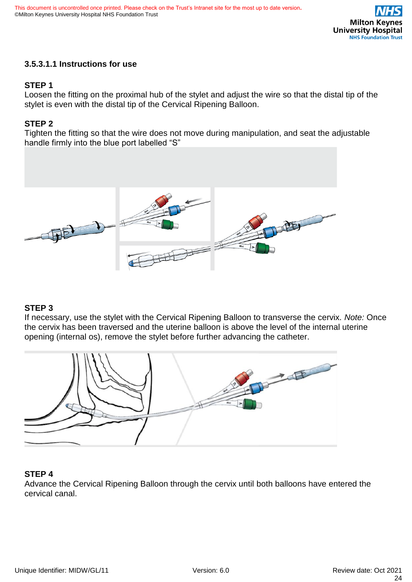

#### <span id="page-23-0"></span>**3.5.3.1.1 Instructions for use**

#### **STEP 1**

Loosen the fitting on the proximal hub of the stylet and adjust the wire so that the distal tip of the stylet is even with the distal tip of the Cervical Ripening Balloon.

#### **STEP 2**

Tighten the fitting so that the wire does not move during manipulation, and seat the adjustable handle firmly into the blue port labelled "S"



#### **STEP 3**

If necessary, use the stylet with the Cervical Ripening Balloon to transverse the cervix. *Note:* Once the cervix has been traversed and the uterine balloon is above the level of the internal uterine opening (internal os), remove the stylet before further advancing the catheter.



#### **STEP 4**

Advance the Cervical Ripening Balloon through the cervix until both balloons have entered the cervical canal.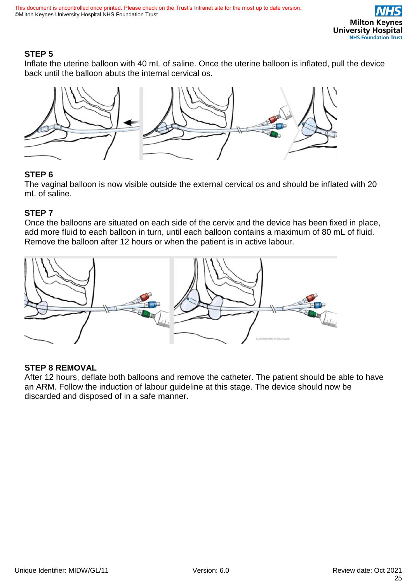# **STEP 5**

Inflate the uterine balloon with 40 mL of saline. Once the uterine balloon is inflated, pull the device back until the balloon abuts the internal cervical os.



### **STEP 6**

The vaginal balloon is now visible outside the external cervical os and should be inflated with 20 mL of saline.

### **STEP 7**

Once the balloons are situated on each side of the cervix and the device has been fixed in place, add more fluid to each balloon in turn, until each balloon contains a maximum of 80 mL of fluid. Remove the balloon after 12 hours or when the patient is in active labour.



# **STEP 8 REMOVAL**

After 12 hours, deflate both balloons and remove the catheter. The patient should be able to have an ARM. Follow the induction of labour guideline at this stage. The device should now be discarded and disposed of in a safe manner.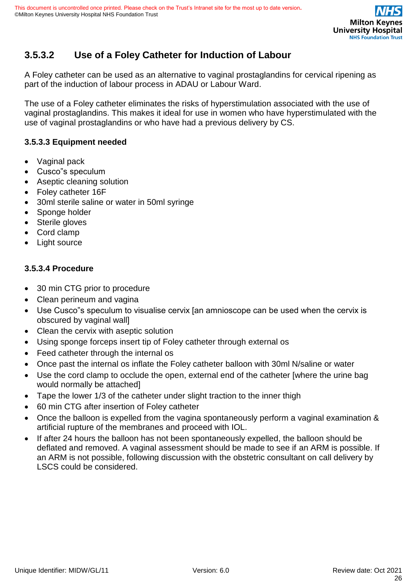# <span id="page-25-0"></span>**3.5.3.2 Use of a Foley Catheter for Induction of Labour**

A Foley catheter can be used as an alternative to vaginal prostaglandins for cervical ripening as part of the induction of labour process in ADAU or Labour Ward.

The use of a Foley catheter eliminates the risks of hyperstimulation associated with the use of vaginal prostaglandins. This makes it ideal for use in women who have hyperstimulated with the use of vaginal prostaglandins or who have had a previous delivery by CS.

# **3.5.3.3 Equipment needed**

- Vaginal pack
- Cusco"s speculum
- Aseptic cleaning solution
- Foley catheter 16F
- 30ml sterile saline or water in 50ml syringe
- Sponge holder
- Sterile gloves
- Cord clamp
- Light source

### **3.5.3.4 Procedure**

- 30 min CTG prior to procedure
- Clean perineum and vagina
- Use Cusco"s speculum to visualise cervix [an amnioscope can be used when the cervix is obscured by vaginal wall]
- Clean the cervix with aseptic solution
- Using sponge forceps insert tip of Foley catheter through external os
- Feed catheter through the internal os
- Once past the internal os inflate the Foley catheter balloon with 30ml N/saline or water
- Use the cord clamp to occlude the open, external end of the catheter [where the urine bag would normally be attached]
- Tape the lower 1/3 of the catheter under slight traction to the inner thigh
- 60 min CTG after insertion of Foley catheter
- Once the balloon is expelled from the vagina spontaneously perform a vaginal examination & artificial rupture of the membranes and proceed with IOL.
- If after 24 hours the balloon has not been spontaneously expelled, the balloon should be deflated and removed. A vaginal assessment should be made to see if an ARM is possible. If an ARM is not possible, following discussion with the obstetric consultant on call delivery by LSCS could be considered.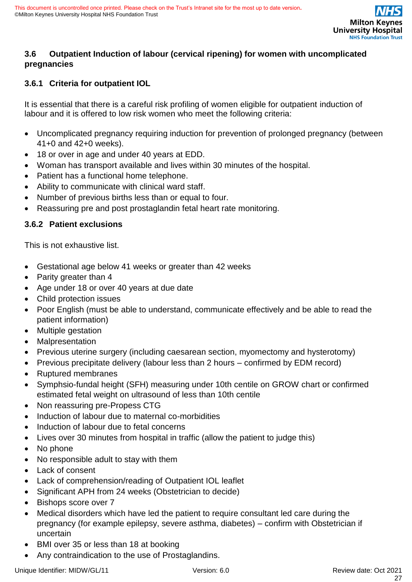

### <span id="page-26-0"></span>**3.6 Outpatient Induction of labour (cervical ripening) for women with uncomplicated pregnancies**

# <span id="page-26-1"></span>**3.6.1 Criteria for outpatient IOL**

It is essential that there is a careful risk profiling of women eligible for outpatient induction of labour and it is offered to low risk women who meet the following criteria:

- Uncomplicated pregnancy requiring induction for prevention of prolonged pregnancy (between 41+0 and 42+0 weeks).
- 18 or over in age and under 40 years at EDD.
- Woman has transport available and lives within 30 minutes of the hospital.
- Patient has a functional home telephone.
- Ability to communicate with clinical ward staff.
- Number of previous births less than or equal to four.
- Reassuring pre and post prostaglandin fetal heart rate monitoring.

### <span id="page-26-2"></span>**3.6.2 Patient exclusions**

This is not exhaustive list.

- Gestational age below 41 weeks or greater than 42 weeks
- Parity greater than 4
- Age under 18 or over 40 years at due date
- Child protection issues
- Poor English (must be able to understand, communicate effectively and be able to read the patient information)
- Multiple gestation
- **Malpresentation**
- Previous uterine surgery (including caesarean section, myomectomy and hysterotomy)
- Previous precipitate delivery (labour less than 2 hours confirmed by EDM record)
- Ruptured membranes
- Symphsio-fundal height (SFH) measuring under 10th centile on GROW chart or confirmed estimated fetal weight on ultrasound of less than 10th centile
- Non reassuring pre-Propess CTG
- Induction of labour due to maternal co-morbidities
- Induction of labour due to fetal concerns
- Lives over 30 minutes from hospital in traffic (allow the patient to judge this)
- No phone
- No responsible adult to stay with them
- Lack of consent
- Lack of comprehension/reading of Outpatient IOL leaflet
- Significant APH from 24 weeks (Obstetrician to decide)
- Bishops score over 7
- Medical disorders which have led the patient to require consultant led care during the pregnancy (for example epilepsy, severe asthma, diabetes) – confirm with Obstetrician if uncertain
- BMI over 35 or less than 18 at booking
- Any contraindication to the use of Prostaglandins.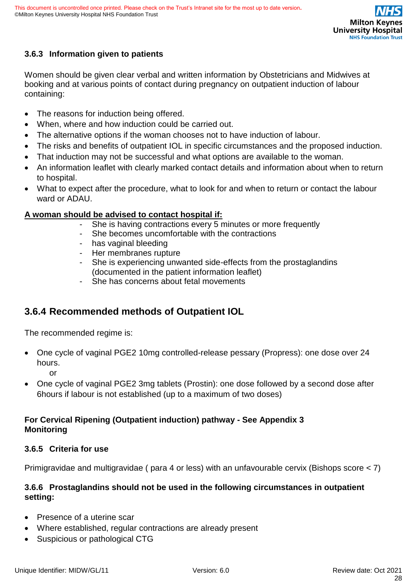

# <span id="page-27-0"></span>**3.6.3 Information given to patients**

Women should be given clear verbal and written information by Obstetricians and Midwives at booking and at various points of contact during pregnancy on outpatient induction of labour containing:

- The reasons for induction being offered.
- When, where and how induction could be carried out.
- The alternative options if the woman chooses not to have induction of labour.
- The risks and benefits of outpatient IOL in specific circumstances and the proposed induction.
- That induction may not be successful and what options are available to the woman.
- An information leaflet with clearly marked contact details and information about when to return to hospital.
- What to expect after the procedure, what to look for and when to return or contact the labour ward or ADAU.

### **A woman should be advised to contact hospital if:**

- She is having contractions every 5 minutes or more frequently
- She becomes uncomfortable with the contractions
- has vaginal bleeding
- Her membranes rupture
- She is experiencing unwanted side-effects from the prostaglandins (documented in the patient information leaflet)
- She has concerns about fetal movements

# <span id="page-27-1"></span>**3.6.4 Recommended methods of Outpatient IOL**

The recommended regime is:

- One cycle of vaginal PGE2 10mg controlled-release pessary (Propress): one dose over 24 hours. or
- One cycle of vaginal PGE2 3mg tablets (Prostin): one dose followed by a second dose after 6hours if labour is not established (up to a maximum of two doses)

# <span id="page-27-2"></span>**For Cervical Ripening (Outpatient induction) pathway - See Appendix 3 Monitoring**

#### <span id="page-27-3"></span>**3.6.5 Criteria for use**

Primigravidae and multigravidae ( para 4 or less) with an unfavourable cervix (Bishops score < 7)

### <span id="page-27-4"></span>**3.6.6 Prostaglandins should not be used in the following circumstances in outpatient setting:**

- Presence of a uterine scar
- Where established, regular contractions are already present
- Suspicious or pathological CTG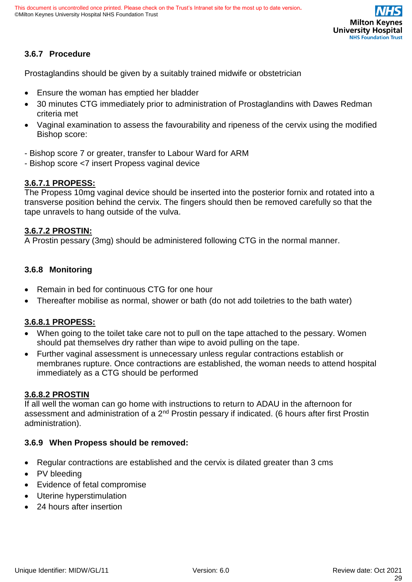

# <span id="page-28-0"></span>**3.6.7 Procedure**

Prostaglandins should be given by a suitably trained midwife or obstetrician

- Ensure the woman has emptied her bladder
- 30 minutes CTG immediately prior to administration of Prostaglandins with Dawes Redman criteria met
- Vaginal examination to assess the favourability and ripeness of the cervix using the modified Bishop score:
- Bishop score 7 or greater, transfer to Labour Ward for ARM
- Bishop score <7 insert Propess vaginal device

#### **3.6.7.1 PROPESS:**

The Propess 10mg vaginal device should be inserted into the posterior fornix and rotated into a transverse position behind the cervix. The fingers should then be removed carefully so that the tape unravels to hang outside of the vulva.

#### **3.6.7.2 PROSTIN:**

A Prostin pessary (3mg) should be administered following CTG in the normal manner.

#### <span id="page-28-1"></span>**3.6.8 Monitoring**

- Remain in bed for continuous CTG for one hour
- Thereafter mobilise as normal, shower or bath (do not add toiletries to the bath water)

#### **3.6.8.1 PROPESS:**

- When going to the toilet take care not to pull on the tape attached to the pessary. Women should pat themselves dry rather than wipe to avoid pulling on the tape.
- Further vaginal assessment is unnecessary unless regular contractions establish or membranes rupture. Once contractions are established, the woman needs to attend hospital immediately as a CTG should be performed

#### **3.6.8.2 PROSTIN**

If all well the woman can go home with instructions to return to ADAU in the afternoon for assessment and administration of a 2<sup>nd</sup> Prostin pessary if indicated. (6 hours after first Prostin administration).

#### <span id="page-28-2"></span>**3.6.9 When Propess should be removed:**

- Regular contractions are established and the cervix is dilated greater than 3 cms
- PV bleeding
- Evidence of fetal compromise
- Uterine hyperstimulation
- 24 hours after insertion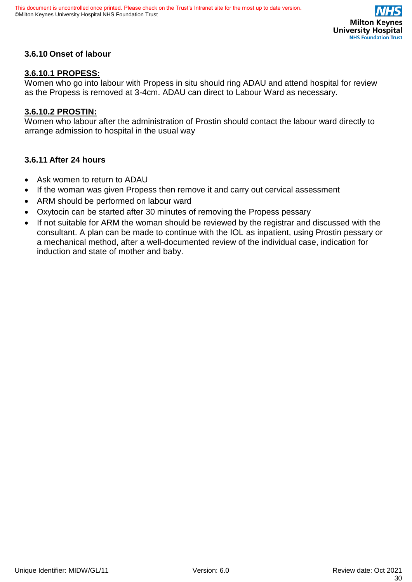

### <span id="page-29-0"></span>**3.6.10 Onset of labour**

#### **3.6.10.1 PROPESS:**

Women who go into labour with Propess in situ should ring ADAU and attend hospital for review as the Propess is removed at 3-4cm. ADAU can direct to Labour Ward as necessary.

#### **3.6.10.2 PROSTIN:**

Women who labour after the administration of Prostin should contact the labour ward directly to arrange admission to hospital in the usual way

#### <span id="page-29-1"></span>**3.6.11 After 24 hours**

- Ask women to return to ADAU
- If the woman was given Propess then remove it and carry out cervical assessment
- ARM should be performed on labour ward
- Oxytocin can be started after 30 minutes of removing the Propess pessary
- If not suitable for ARM the woman should be reviewed by the registrar and discussed with the consultant. A plan can be made to continue with the IOL as inpatient, using Prostin pessary or a mechanical method, after a well-documented review of the individual case, indication for induction and state of mother and baby.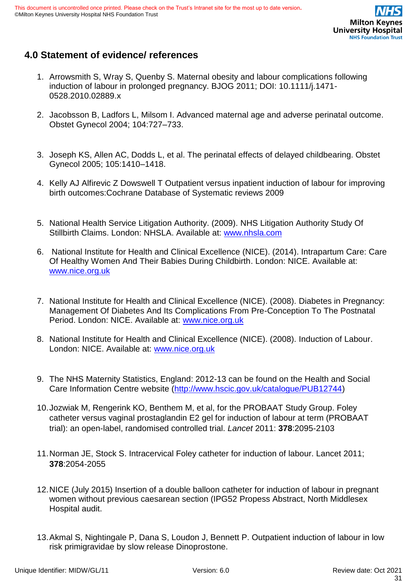

# <span id="page-30-0"></span>**4.0 Statement of evidence/ references**

- 1. Arrowsmith S, Wray S, Quenby S. Maternal obesity and labour complications following induction of labour in prolonged pregnancy. BJOG 2011; DOI: 10.1111/j.1471- 0528.2010.02889.x
- 2. Jacobsson B, Ladfors L, Milsom I. Advanced maternal age and adverse perinatal outcome. Obstet Gynecol 2004; 104:727–733.
- 3. Joseph KS, Allen AC, Dodds L, et al. The perinatal effects of delayed childbearing. Obstet Gynecol 2005; 105:1410–1418.
- 4. Kelly AJ Alfirevic Z Dowswell T Outpatient versus inpatient induction of labour for improving birth outcomes:Cochrane Database of Systematic reviews 2009
- 5. National Health Service Litigation Authority. (2009). NHS Litigation Authority Study Of Stillbirth Claims. London: NHSLA. Available at: [www.nhsla.com](http://www.nhsla.com/)
- 6. National Institute for Health and Clinical Excellence (NICE). (2014). Intrapartum Care: Care Of Healthy Women And Their Babies During Childbirth. London: NICE. Available at: [www.nice.org.uk](http://www.nice.org.uk/)
- 7. National Institute for Health and Clinical Excellence (NICE). (2008). Diabetes in Pregnancy: Management Of Diabetes And Its Complications From Pre-Conception To The Postnatal Period. London: NICE. Available at: [www.nice.org.uk](http://www.nice.org.uk/)
- 8. National Institute for Health and Clinical Excellence (NICE). (2008). Induction of Labour. London: NICE. Available at: [www.nice.org.uk](http://www.nice.org.uk/)
- 9. The NHS Maternity Statistics, England: 2012-13 can be found on the Health and Social Care Information Centre website [\(http://www.hscic.gov.uk/catalogue/PUB12744\)](http://www.hscic.gov.uk/catalogue/PUB12744)
- 10.Jozwiak M, Rengerink KO, Benthem M, et al, for the PROBAAT Study Group. Foley catheter versus vaginal prostaglandin E2 gel for induction of labour at term (PROBAAT trial): an open-label, randomised controlled trial. *Lancet* 2011: **378**:2095-2103
- 11.Norman JE, Stock S. Intracervical Foley catheter for induction of labour. Lancet 2011; **378**:2054-2055
- 12.NICE (July 2015) Insertion of a double balloon catheter for induction of labour in pregnant women without previous caesarean section (IPG52 Propess Abstract, North Middlesex Hospital audit.
- 13.Akmal S, Nightingale P, Dana S, Loudon J, Bennett P. Outpatient induction of labour in low risk primigravidae by slow release Dinoprostone.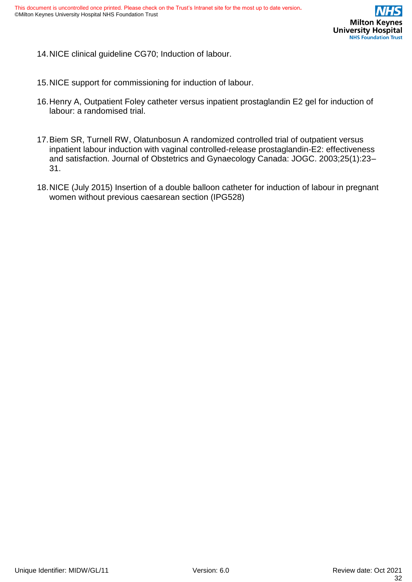

14.NICE clinical guideline CG70; Induction of labour.

- 15.NICE support for commissioning for induction of labour.
- 16.Henry A, Outpatient Foley catheter versus inpatient prostaglandin E2 gel for induction of labour: a randomised trial.
- 17.Biem SR, Turnell RW, Olatunbosun A randomized controlled trial of outpatient versus inpatient labour induction with vaginal controlled-release prostaglandin-E2: effectiveness and satisfaction. Journal of Obstetrics and Gynaecology Canada: JOGC. 2003;25(1):23– 31.
- 18.NICE (July 2015) Insertion of a double balloon catheter for induction of labour in pregnant women without previous caesarean section (IPG528)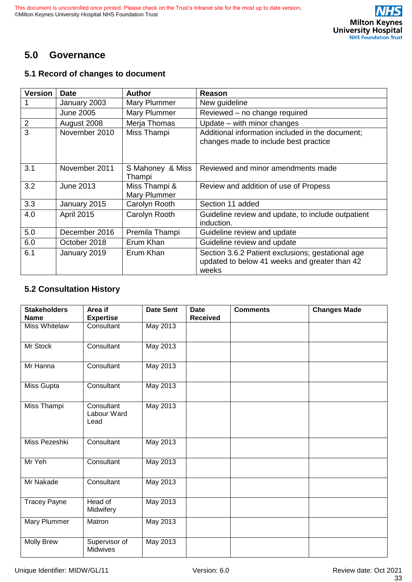# <span id="page-32-0"></span>**5.0 Governance**

#### <span id="page-32-1"></span>**5.1 Record of changes to document**

| <b>Version</b> | <b>Date</b>       | <b>Author</b>                 | Reason                                                                                                      |
|----------------|-------------------|-------------------------------|-------------------------------------------------------------------------------------------------------------|
|                | January 2003      | Mary Plummer                  | New guideline                                                                                               |
|                | <b>June 2005</b>  | Mary Plummer                  | Reviewed - no change required                                                                               |
| $\overline{2}$ | August 2008       | Merja Thomas                  | Update – with minor changes                                                                                 |
| 3              | November 2010     | Miss Thampi                   | Additional information included in the document;<br>changes made to include best practice                   |
| 3.1            | November 2011     | S Mahoney & Miss<br>Thampi    | Reviewed and minor amendments made                                                                          |
| 3.2            | June 2013         | Miss Thampi &<br>Mary Plummer | Review and addition of use of Propess                                                                       |
| 3.3            | January 2015      | Carolyn Rooth                 | Section 11 added                                                                                            |
| 4.0            | <b>April 2015</b> | Carolyn Rooth                 | Guideline review and update, to include outpatient<br>induction.                                            |
| 5.0            | December 2016     | Premila Thampi                | Guideline review and update                                                                                 |
| 6.0            | October 2018      | Erum Khan                     | Guideline review and update                                                                                 |
| 6.1            | January 2019      | Erum Khan                     | Section 3.6.2 Patient exclusions; gestational age<br>updated to below 41 weeks and greater than 42<br>weeks |

# <span id="page-32-2"></span>**5.2 Consultation History**

| <b>Stakeholders</b><br><b>Name</b> | Area if<br><b>Expertise</b>       | <b>Date Sent</b> | <b>Date</b><br><b>Received</b> | <b>Comments</b> | <b>Changes Made</b> |
|------------------------------------|-----------------------------------|------------------|--------------------------------|-----------------|---------------------|
| Miss Whitelaw                      | Consultant                        | May 2013         |                                |                 |                     |
| Mr Stock                           | Consultant                        | May 2013         |                                |                 |                     |
| Mr Hanna                           | Consultant                        | May 2013         |                                |                 |                     |
| Miss Gupta                         | Consultant                        | May 2013         |                                |                 |                     |
| Miss Thampi                        | Consultant<br>Labour Ward<br>Lead | May 2013         |                                |                 |                     |
| Miss Pezeshki                      | Consultant                        | May 2013         |                                |                 |                     |
| Mr Yeh                             | Consultant                        | May 2013         |                                |                 |                     |
| Mr Nakade                          | Consultant                        | May 2013         |                                |                 |                     |
| <b>Tracey Payne</b>                | Head of<br>Midwifery              | May 2013         |                                |                 |                     |
| Mary Plummer                       | Matron                            | May 2013         |                                |                 |                     |
| <b>Molly Brew</b>                  | Supervisor of<br>Midwives         | May 2013         |                                |                 |                     |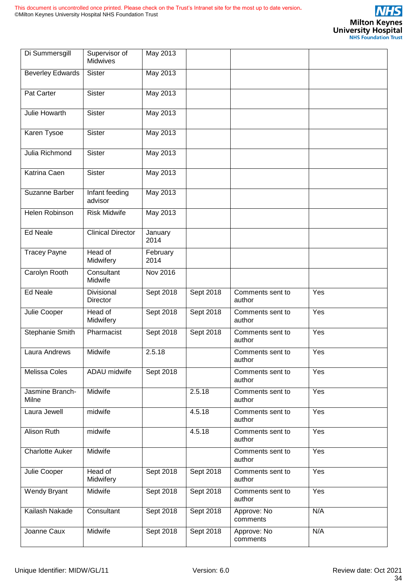| Di Summersgill           | Supervisor of<br>Midwives | May 2013         |           |                            |     |
|--------------------------|---------------------------|------------------|-----------|----------------------------|-----|
| <b>Beverley Edwards</b>  | Sister                    | May 2013         |           |                            |     |
| Pat Carter               | <b>Sister</b>             | May 2013         |           |                            |     |
| Julie Howarth            | <b>Sister</b>             | May 2013         |           |                            |     |
| Karen Tysoe              | <b>Sister</b>             | May 2013         |           |                            |     |
| Julia Richmond           | Sister                    | May 2013         |           |                            |     |
| Katrina Caen             | Sister                    | May 2013         |           |                            |     |
| Suzanne Barber           | Infant feeding<br>advisor | <b>May 2013</b>  |           |                            |     |
| Helen Robinson           | <b>Risk Midwife</b>       | May 2013         |           |                            |     |
| <b>Ed Neale</b>          | <b>Clinical Director</b>  | January<br>2014  |           |                            |     |
| <b>Tracey Payne</b>      | Head of<br>Midwifery      | February<br>2014 |           |                            |     |
| Carolyn Rooth            | Consultant<br>Midwife     | Nov 2016         |           |                            |     |
| <b>Ed Neale</b>          | Divisional<br>Director    | Sept 2018        | Sept 2018 | Comments sent to<br>author | Yes |
| Julie Cooper             | Head of<br>Midwifery      | Sept 2018        | Sept 2018 | Comments sent to<br>author | Yes |
| Stephanie Smith          | Pharmacist                | Sept 2018        | Sept 2018 | Comments sent to<br>author | Yes |
| Laura Andrews            | Midwife                   | 2.5.18           |           | Comments sent to<br>author | Yes |
| Melissa Coles            | ADAU midwife              | Sept 2018        |           | Comments sent to<br>author | Yes |
| Jasmine Branch-<br>Milne | Midwife                   |                  | 2.5.18    | Comments sent to<br>author | Yes |
| Laura Jewell             | midwife                   |                  | 4.5.18    | Comments sent to<br>author | Yes |
| <b>Alison Ruth</b>       | midwife                   |                  | 4.5.18    | Comments sent to<br>author | Yes |
| <b>Charlotte Auker</b>   | Midwife                   |                  |           | Comments sent to<br>author | Yes |
| Julie Cooper             | Head of<br>Midwifery      | Sept 2018        | Sept 2018 | Comments sent to<br>author | Yes |
| Wendy Bryant             | Midwife                   | Sept 2018        | Sept 2018 | Comments sent to<br>author | Yes |
| Kailash Nakade           | Consultant                | Sept 2018        | Sept 2018 | Approve: No<br>comments    | N/A |
| Joanne Caux              | Midwife                   | Sept 2018        | Sept 2018 | Approve: No<br>comments    | N/A |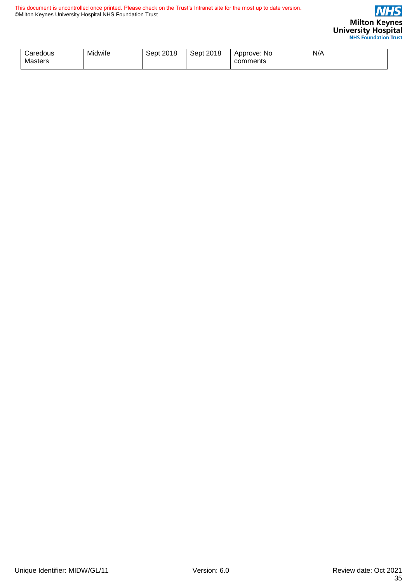

| <i>C</i> aredous<br>Masters | Midwife | 2018<br>Sept | Sept 2018 | Approve: No<br>comments | N/A |
|-----------------------------|---------|--------------|-----------|-------------------------|-----|
|-----------------------------|---------|--------------|-----------|-------------------------|-----|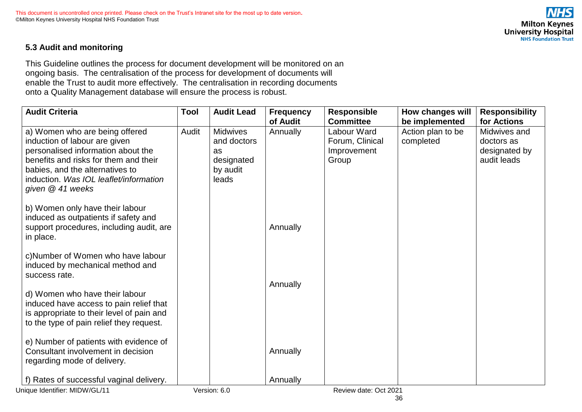# **Milton Keynes** University Hospital

# **5.3 Audit and monitoring**

This Guideline outlines the process for document development will be monitored on an ongoing basis. The centralisation of the process for development of documents will enable the Trust to audit more effectively. The centralisation in recording documents onto a Quality Management database will ensure the process is robust.

<span id="page-35-0"></span>

| <b>Audit Criteria</b>                                                                                                                                                                                                                             | <b>Tool</b> | <b>Audit Lead</b>                                                       | <b>Frequency</b><br>of Audit | <b>Responsible</b><br><b>Committee</b>                 | How changes will<br>be implemented | <b>Responsibility</b><br>for Actions                       |
|---------------------------------------------------------------------------------------------------------------------------------------------------------------------------------------------------------------------------------------------------|-------------|-------------------------------------------------------------------------|------------------------------|--------------------------------------------------------|------------------------------------|------------------------------------------------------------|
| a) Women who are being offered<br>induction of labour are given<br>personalised information about the<br>benefits and risks for them and their<br>babies, and the alternatives to<br>induction. Was IOL leaflet/information<br>given $@$ 41 weeks | Audit       | <b>Midwives</b><br>and doctors<br>as<br>designated<br>by audit<br>leads | Annually                     | Labour Ward<br>Forum, Clinical<br>Improvement<br>Group | Action plan to be<br>completed     | Midwives and<br>doctors as<br>designated by<br>audit leads |
| b) Women only have their labour<br>induced as outpatients if safety and<br>support procedures, including audit, are<br>in place.                                                                                                                  |             |                                                                         | Annually                     |                                                        |                                    |                                                            |
| c) Number of Women who have labour<br>induced by mechanical method and<br>success rate.                                                                                                                                                           |             |                                                                         | Annually                     |                                                        |                                    |                                                            |
| d) Women who have their labour<br>induced have access to pain relief that<br>is appropriate to their level of pain and<br>to the type of pain relief they request.                                                                                |             |                                                                         |                              |                                                        |                                    |                                                            |
| e) Number of patients with evidence of<br>Consultant involvement in decision<br>regarding mode of delivery.                                                                                                                                       |             |                                                                         | Annually                     |                                                        |                                    |                                                            |
| f) Rates of successful vaginal delivery.                                                                                                                                                                                                          |             |                                                                         | Annually                     |                                                        |                                    |                                                            |
| Unique Identifier: MIDW/GL/11                                                                                                                                                                                                                     |             | Version: 6.0                                                            |                              | Review date: Oct 2021                                  |                                    |                                                            |

36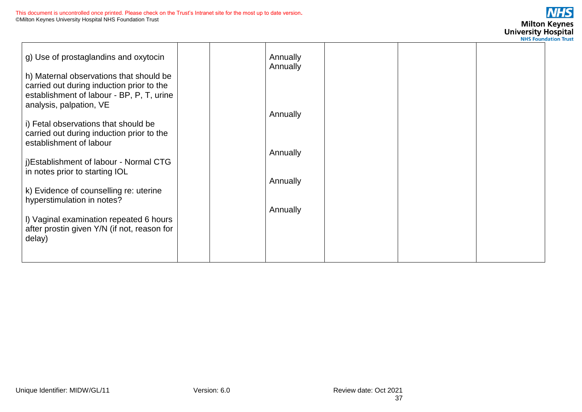| g) Use of prostaglandins and oxytocin<br>h) Maternal observations that should be<br>carried out during induction prior to the |  | Annually<br>Annually |  |  |
|-------------------------------------------------------------------------------------------------------------------------------|--|----------------------|--|--|
| establishment of labour - BP, P, T, urine<br>analysis, palpation, VE                                                          |  | Annually             |  |  |
| i) Fetal observations that should be<br>carried out during induction prior to the<br>establishment of labour                  |  |                      |  |  |
| j)Establishment of labour - Normal CTG<br>in notes prior to starting IOL                                                      |  | Annually             |  |  |
| k) Evidence of counselling re: uterine<br>hyperstimulation in notes?                                                          |  | Annually             |  |  |
| I) Vaginal examination repeated 6 hours<br>after prostin given Y/N (if not, reason for<br>delay)                              |  | Annually             |  |  |
|                                                                                                                               |  |                      |  |  |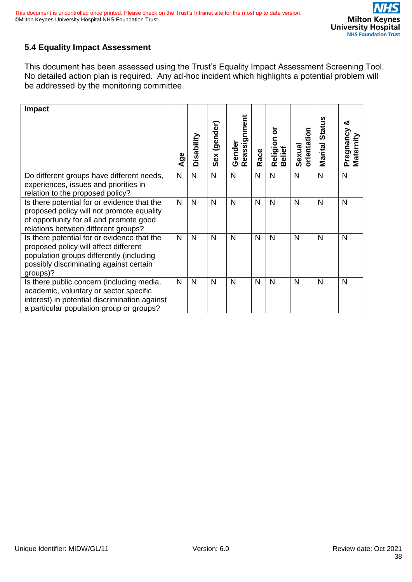# <span id="page-37-0"></span>**5.4 Equality Impact Assessment**

This document has been assessed using the Trust's Equality Impact Assessment Screening Tool. No detailed action plan is required. Any ad-hoc incident which highlights a potential problem will be addressed by the monitoring committee.

| <b>Impact</b>                                                                                                                                                                           | Age          | Disability   | Sex (gender) | Reassignment<br>Gender | Race         | ៦<br>Religion<br>Belief | orientation<br>Sexual | Marital Status | య<br>Pregnancy<br>Maternity |
|-----------------------------------------------------------------------------------------------------------------------------------------------------------------------------------------|--------------|--------------|--------------|------------------------|--------------|-------------------------|-----------------------|----------------|-----------------------------|
| Do different groups have different needs,                                                                                                                                               | $\mathsf{N}$ | $\mathsf{N}$ | N            | N                      | N            | $\mathsf{N}$            | $\mathsf{N}$          | N              | N                           |
| experiences, issues and priorities in<br>relation to the proposed policy?                                                                                                               |              |              |              |                        |              |                         |                       |                |                             |
| Is there potential for or evidence that the<br>proposed policy will not promote equality<br>of opportunity for all and promote good<br>relations between different groups?              | $\mathsf{N}$ | $\mathsf{N}$ | N            | N                      | N            | N                       | N                     | N              | N                           |
| Is there potential for or evidence that the<br>proposed policy will affect different<br>population groups differently (including<br>possibly discriminating against certain<br>groups)? | $\mathsf{N}$ | N            | N            | N                      | $\mathsf{N}$ | N                       | N                     | N              | N                           |
| Is there public concern (including media,<br>academic, voluntary or sector specific<br>interest) in potential discrimination against<br>a particular population group or groups?        | N            | N            | N            | N                      | N            | N                       | N                     | N              | N                           |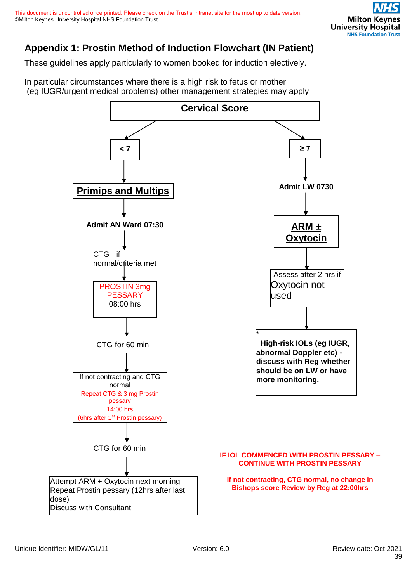# <span id="page-38-0"></span>**Appendix 1: Prostin Method of Induction Flowchart (IN Patient)**

These guidelines apply particularly to women booked for induction electively.

In particular circumstances where there is a high risk to fetus or mother (eg IUGR/urgent medical problems) other management strategies may apply

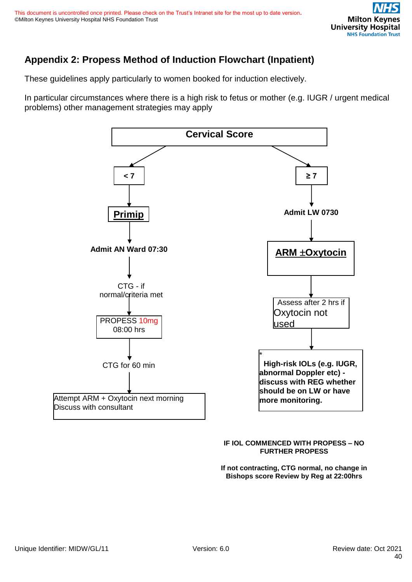# <span id="page-39-0"></span>**Appendix 2: Propess Method of Induction Flowchart (Inpatient)**

These guidelines apply particularly to women booked for induction electively.

In particular circumstances where there is a high risk to fetus or mother (e.g. IUGR / urgent medical problems) other management strategies may apply



#### **IF IOL COMMENCED WITH PROPESS – NO FURTHER PROPESS**

**If not contracting, CTG normal, no change in Bishops score Review by Reg at 22:00hrs**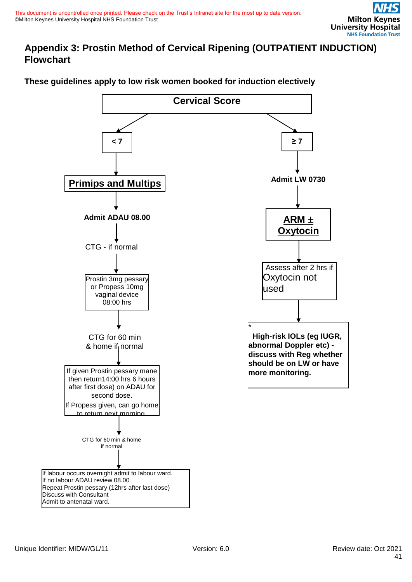# <span id="page-40-0"></span>**Appendix 3: Prostin Method of Cervical Ripening (OUTPATIENT INDUCTION) Flowchart**

# **These guidelines apply to low risk women booked for induction electively**

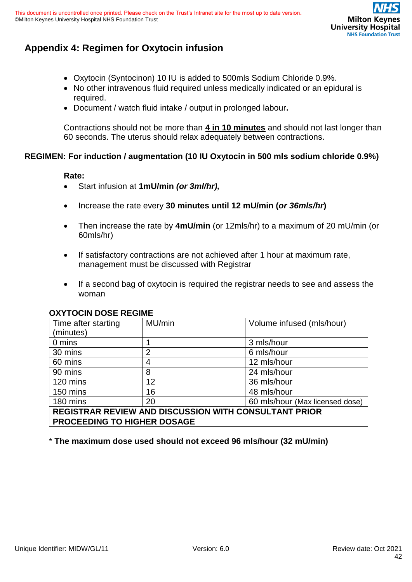# <span id="page-41-0"></span>**Appendix 4: Regimen for Oxytocin infusion**

- Oxytocin (Syntocinon) 10 IU is added to 500mls Sodium Chloride 0.9%.
- No other intravenous fluid required unless medically indicated or an epidural is required.
- Document / watch fluid intake / output in prolonged labour**.**

Contractions should not be more than **4 in 10 minutes** and should not last longer than 60 seconds. The uterus should relax adequately between contractions.

### **REGIMEN: For induction / augmentation (10 IU Oxytocin in 500 mls sodium chloride 0.9%)**

#### **Rate:**

- Start infusion at **1mU/min** *(or 3ml/hr),*
- Increase the rate every **30 minutes until 12 mU/min (***or 36mls/hr***)**
- Then increase the rate by **4mU/min** (or 12mls/hr) to a maximum of 20 mU/min (or 60mls/hr)
- If satisfactory contractions are not achieved after 1 hour at maximum rate, management must be discussed with Registrar
- If a second bag of oxytocin is required the registrar needs to see and assess the woman

|                                                              | UAT TUUN DUUL REUINE |                                 |  |  |  |
|--------------------------------------------------------------|----------------------|---------------------------------|--|--|--|
| Time after starting                                          | MU/min               | Volume infused (mls/hour)       |  |  |  |
| (minutes)                                                    |                      |                                 |  |  |  |
| 0 mins                                                       |                      | 3 mls/hour                      |  |  |  |
| 30 mins                                                      | $\overline{2}$       | 6 mls/hour                      |  |  |  |
| 60 mins                                                      | 4                    | 12 mls/hour                     |  |  |  |
| 90 mins                                                      | 8                    | 24 mls/hour                     |  |  |  |
| 120 mins                                                     | 12                   | 36 mls/hour                     |  |  |  |
| 150 mins                                                     | 16                   | 48 mls/hour                     |  |  |  |
| 180 mins                                                     | 20                   | 60 mls/hour (Max licensed dose) |  |  |  |
| <b>REGISTRAR REVIEW AND DISCUSSION WITH CONSULTANT PRIOR</b> |                      |                                 |  |  |  |
| <b>PROCEEDING TO HIGHER DOSAGE</b>                           |                      |                                 |  |  |  |
|                                                              |                      |                                 |  |  |  |

### **OXYTOCIN DOSE REGIME**

\* **The maximum dose used should not exceed 96 mls/hour (32 mU/min)**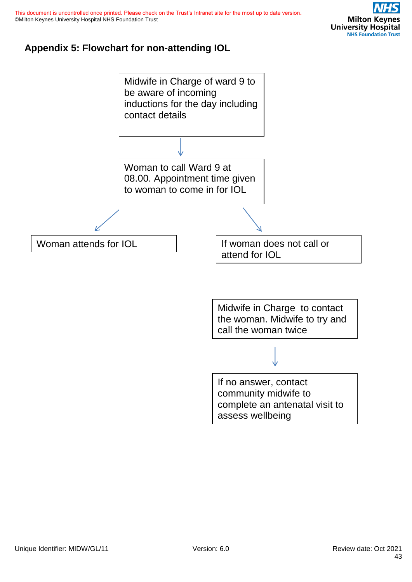# <span id="page-42-0"></span>**Appendix 5: Flowchart for non-attending IOL**

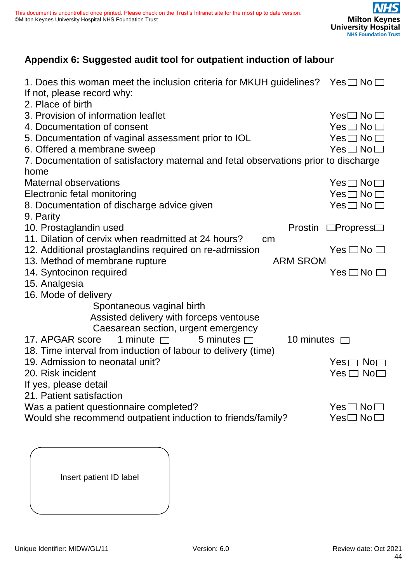# <span id="page-43-0"></span>**Appendix 6: Suggested audit tool for outpatient induction of labour**

| 1. Does this woman meet the inclusion criteria for MKUH guidelines? Yes $\square$ No $\square$<br>If not, please record why:<br>2. Place of birth |                                  |
|---------------------------------------------------------------------------------------------------------------------------------------------------|----------------------------------|
| 3. Provision of information leaflet                                                                                                               | $\sf Yes \square \sf No \square$ |
| 4. Documentation of consent                                                                                                                       | $Yes \Box No \Box$               |
| 5. Documentation of vaginal assessment prior to IOL                                                                                               | $Yes \Box No \Box$               |
| 6. Offered a membrane sweep                                                                                                                       | $Yes \Box No \Box$               |
| 7. Documentation of satisfactory maternal and fetal observations prior to discharge                                                               |                                  |
| home                                                                                                                                              |                                  |
| <b>Maternal observations</b>                                                                                                                      | $Yes \Box No \Box$               |
| Electronic fetal monitoring                                                                                                                       | $Yes \Box No \Box$               |
| 8. Documentation of discharge advice given                                                                                                        | $Yes \Box No \Box$               |
| 9. Parity                                                                                                                                         |                                  |
| 10. Prostaglandin used<br><b>Prostin</b>                                                                                                          | $\Box$ Propress $\Box$           |
| 11. Dilation of cervix when readmitted at 24 hours?<br>cm                                                                                         |                                  |
| 12. Additional prostaglandins required on re-admission                                                                                            | $Yes \Box No \Box$               |
| 13. Method of membrane rupture<br><b>ARM SROM</b>                                                                                                 |                                  |
| 14. Syntocinon required                                                                                                                           | $Yes \Box No \Box$               |
| 15. Analgesia                                                                                                                                     |                                  |
| 16. Mode of delivery                                                                                                                              |                                  |
| Spontaneous vaginal birth                                                                                                                         |                                  |
| Assisted delivery with forceps ventouse                                                                                                           |                                  |
| Caesarean section, urgent emergency                                                                                                               |                                  |
| 10 minutes □<br>1 minute $\Box$<br>5 minutes $\Box$<br>17. APGAR score                                                                            |                                  |
| 18. Time interval from induction of labour to delivery (time)                                                                                     |                                  |
| 19. Admission to neonatal unit?                                                                                                                   | $Yes \sqcap No \sqcap$           |
| 20. Risk incident                                                                                                                                 | $Yes \Box No \Box$               |
| If yes, please detail                                                                                                                             |                                  |
| 21. Patient satisfaction                                                                                                                          |                                  |
| Was a patient questionnaire completed?                                                                                                            | $Yes \Box No \Box$               |
| Would she recommend outpatient induction to friends/family?                                                                                       | $Yes \Box No \Box$               |

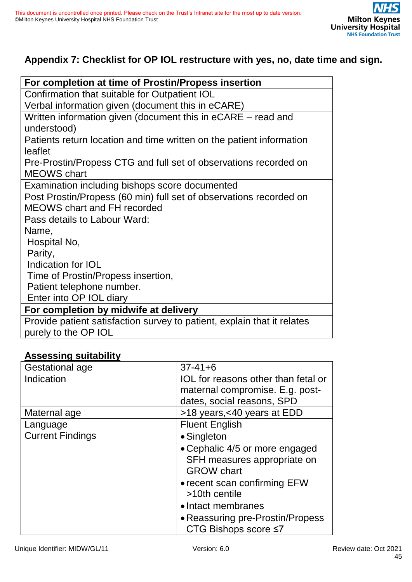# <span id="page-44-0"></span>**Appendix 7: Checklist for OP IOL restructure with yes, no, date time and sign.**

| For completion at time of Prostin/Propess insertion                     |
|-------------------------------------------------------------------------|
| Confirmation that suitable for Outpatient IOL                           |
| Verbal information given (document this in eCARE)                       |
| Written information given (document this in eCARE – read and            |
| understood)                                                             |
| Patients return location and time written on the patient information    |
| leaflet                                                                 |
| Pre-Prostin/Propess CTG and full set of observations recorded on        |
| <b>MEOWS</b> chart                                                      |
| Examination including bishops score documented                          |
| Post Prostin/Propess (60 min) full set of observations recorded on      |
| <b>MEOWS chart and FH recorded</b>                                      |
| Pass details to Labour Ward:                                            |
| Name,                                                                   |
| Hospital No,                                                            |
| Parity,                                                                 |
| Indication for IOL                                                      |
| Time of Prostin/Propess insertion,                                      |
| Patient telephone number.                                               |
| Enter into OP IOL diary                                                 |
| For completion by midwife at delivery                                   |
| Provide patient satisfaction survey to patient, explain that it relates |
| purely to the OP IOL                                                    |

# **Assessing suitability**

| ASSESSING SUITADINTY    |                                                                                                      |
|-------------------------|------------------------------------------------------------------------------------------------------|
| Gestational age         | $37 - 41 + 6$                                                                                        |
| Indication              | IOL for reasons other than fetal or<br>maternal compromise. E.g. post-<br>dates, social reasons, SPD |
|                         |                                                                                                      |
| Maternal age            | >18 years, <40 years at EDD                                                                          |
| Language                | <b>Fluent English</b>                                                                                |
| <b>Current Findings</b> | • Singleton                                                                                          |
|                         | • Cephalic 4/5 or more engaged<br>SFH measures appropriate on<br><b>GROW</b> chart                   |
|                         | • recent scan confirming EFW<br>>10th centile                                                        |
|                         | • Intact membranes                                                                                   |
|                         | • Reassuring pre-Prostin/Propess<br>CTG Bishops score $\leq 7$                                       |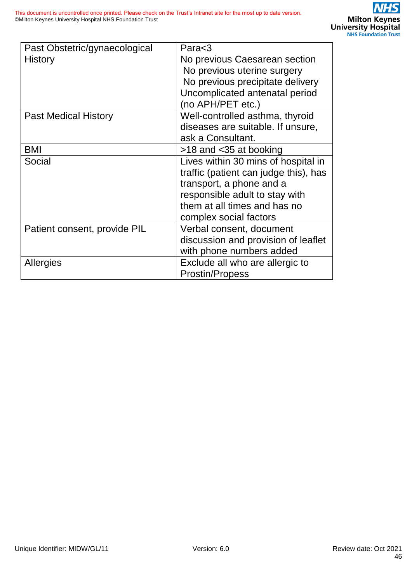| Past Obstetric/gynaecological<br>History | Para $<$ 3<br>No previous Caesarean section<br>No previous uterine surgery<br>No previous precipitate delivery<br>Uncomplicated antenatal period<br>(no APH/PET etc.)                                |
|------------------------------------------|------------------------------------------------------------------------------------------------------------------------------------------------------------------------------------------------------|
| <b>Past Medical History</b>              | Well-controlled asthma, thyroid<br>diseases are suitable. If unsure,<br>ask a Consultant.                                                                                                            |
| <b>BMI</b>                               | >18 and <35 at booking                                                                                                                                                                               |
| Social                                   | Lives within 30 mins of hospital in<br>traffic (patient can judge this), has<br>transport, a phone and a<br>responsible adult to stay with<br>them at all times and has no<br>complex social factors |
| Patient consent, provide PIL             | Verbal consent, document<br>discussion and provision of leaflet<br>with phone numbers added                                                                                                          |
| <b>Allergies</b>                         | Exclude all who are allergic to<br><b>Prostin/Propess</b>                                                                                                                                            |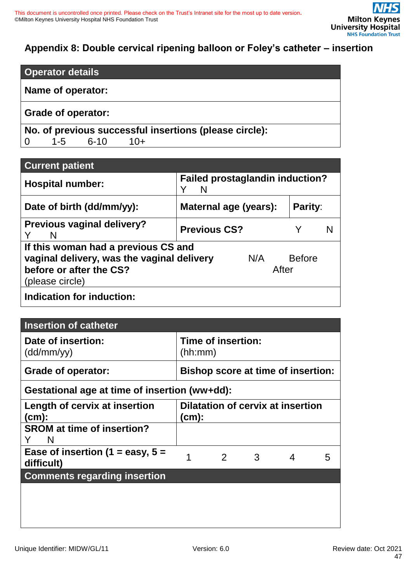# <span id="page-46-0"></span>**Appendix 8: Double cervical ripening balloon or Foley's catheter – insertion**

| <b>Operator details</b> |  |
|-------------------------|--|
|-------------------------|--|

# **Name of operator:**

# **Grade of operator:**

**No. of previous successful insertions (please circle):**  0 1-5 6-10 10+

| <b>Current patient</b>                                                                                                          |                                             |              |               |  |
|---------------------------------------------------------------------------------------------------------------------------------|---------------------------------------------|--------------|---------------|--|
| <b>Hospital number:</b>                                                                                                         | <b>Failed prostaglandin induction?</b><br>N |              |               |  |
| Date of birth (dd/mm/yy):                                                                                                       | Maternal age (years):                       |              | Parity:       |  |
| <b>Previous vaginal delivery?</b><br>N                                                                                          | <b>Previous CS?</b>                         |              |               |  |
| If this woman had a previous CS and<br>vaginal delivery, was the vaginal delivery<br>before or after the CS?<br>(please circle) |                                             | N/A<br>After | <b>Before</b> |  |
| Indication for induction:                                                                                                       |                                             |              |               |  |

| <b>Insertion of catheter</b>                     |         |                                           |   |   |   |
|--------------------------------------------------|---------|-------------------------------------------|---|---|---|
| Date of insertion:<br>(dd/mm/yy)                 | (hh:mm) | Time of insertion:                        |   |   |   |
| Grade of operator:                               |         | <b>Bishop score at time of insertion:</b> |   |   |   |
| Gestational age at time of insertion (ww+dd):    |         |                                           |   |   |   |
| Length of cervix at insertion<br>(cm):           | (cm):   | <b>Dilatation of cervix at insertion</b>  |   |   |   |
| <b>SROM at time of insertion?</b><br>N           |         |                                           |   |   |   |
| Ease of insertion (1 = easy, $5 =$<br>difficult) | 1       | 2                                         | 3 | 4 | 5 |
| <b>Comments regarding insertion</b>              |         |                                           |   |   |   |
|                                                  |         |                                           |   |   |   |
|                                                  |         |                                           |   |   |   |
|                                                  |         |                                           |   |   |   |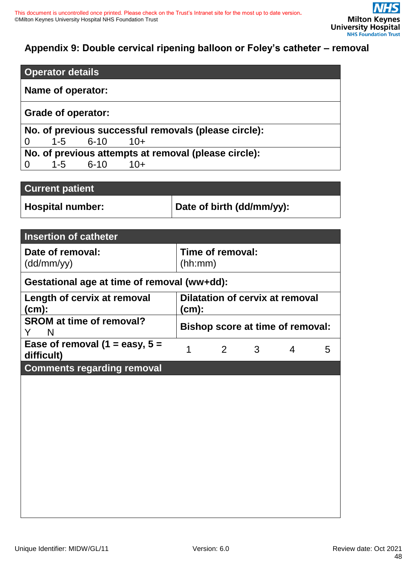# <span id="page-47-0"></span>**Appendix 9: Double cervical ripening balloon or Foley's catheter – removal**

|                | <b>Operator details</b>   |          |       |                                                      |  |  |
|----------------|---------------------------|----------|-------|------------------------------------------------------|--|--|
|                | Name of operator:         |          |       |                                                      |  |  |
|                | <b>Grade of operator:</b> |          |       |                                                      |  |  |
|                |                           |          |       | No. of previous successful removals (please circle): |  |  |
| $\overline{0}$ | $1-5$                     | 6-10     | $10+$ |                                                      |  |  |
|                |                           |          |       | No. of previous attempts at removal (please circle): |  |  |
| $\overline{0}$ | $1 - 5$                   | $6 - 10$ | $10+$ |                                                      |  |  |

| <b>Current patient</b> |                           |
|------------------------|---------------------------|
| Hospital number:       | Date of birth (dd/mm/yy): |

| <b>Insertion of catheter</b>                   |                                          |                  |   |   |   |
|------------------------------------------------|------------------------------------------|------------------|---|---|---|
| Date of removal:<br>(dd/mm/yy)                 | (hh:mm)                                  | Time of removal: |   |   |   |
| Gestational age at time of removal (ww+dd):    |                                          |                  |   |   |   |
| Length of cervix at removal<br>(cm):           | Dilatation of cervix at removal<br>(cm): |                  |   |   |   |
| <b>SROM at time of removal?</b><br>Y<br>N      | <b>Bishop score at time of removal:</b>  |                  |   |   |   |
| Ease of removal (1 = easy, $5 =$<br>difficult) | 1                                        | $\overline{2}$   | 3 | 4 | 5 |
| <b>Comments regarding removal</b>              |                                          |                  |   |   |   |
|                                                |                                          |                  |   |   |   |
|                                                |                                          |                  |   |   |   |